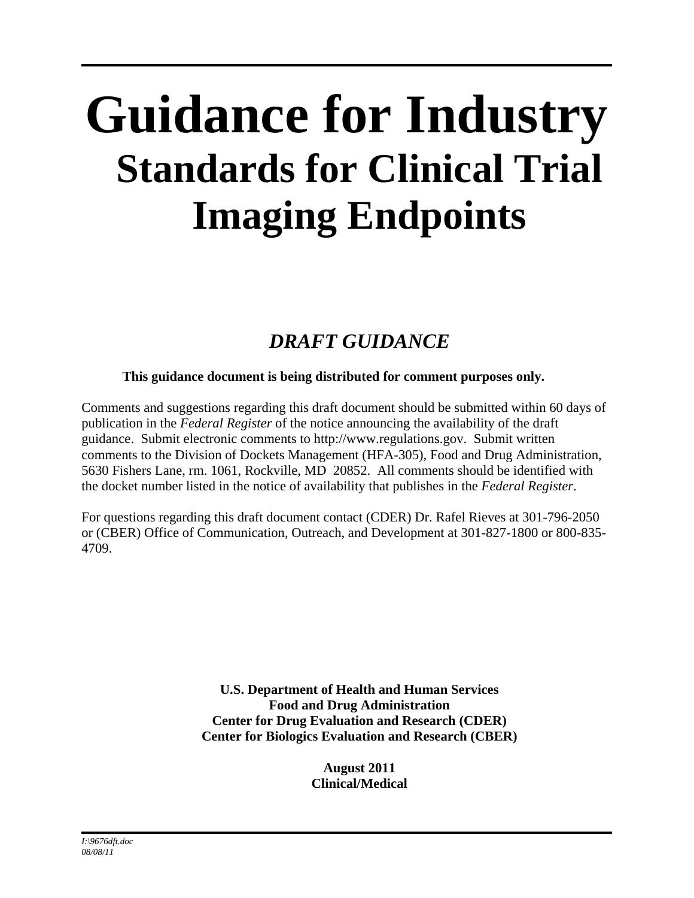# **Guidance for Industry Standards for Clinical Trial Imaging Endpoints**

## *DRAFT GUIDANCE*

## **This guidance document is being distributed for comment purposes only.**

Comments and suggestions regarding this draft document should be submitted within 60 days of publication in the *Federal Register* of the notice announcing the availability of the draft guidance. Submit electronic comments to http://www.regulations.gov. Submit written comments to the Division of Dockets Management (HFA-305), Food and Drug Administration, 5630 Fishers Lane, rm. 1061, Rockville, MD 20852. All comments should be identified with the docket number listed in the notice of availability that publishes in the *Federal Register*.

For questions regarding this draft document contact (CDER) Dr. Rafel Rieves at 301-796-2050 or (CBER) Office of Communication, Outreach, and Development at 301-827-1800 or 800-835- 4709.

> **U.S. Department of Health and Human Services Food and Drug Administration Center for Drug Evaluation and Research (CDER) Center for Biologics Evaluation and Research (CBER)**

> > **August 2011 Clinical/Medical**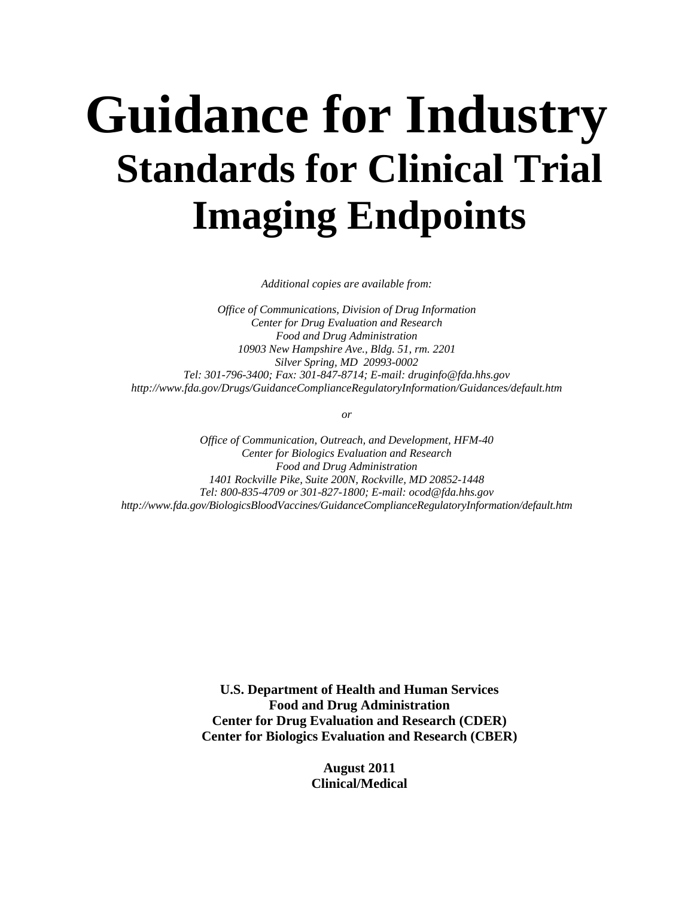## **Guidance for Industry Standards for Clinical Trial Imaging Endpoints**

*Additional copies are available from:* 

 *Silver Spring, MD 20993-0002 Office of Communications, Division of Drug Information Center for Drug Evaluation and Research Food and Drug Administration 10903 New Hampshire Ave., Bldg. 51, rm. 2201 Tel: 301-796-3400; Fax: 301-847-8714; E-mail: druginfo@fda.hhs.gov http://www.fda.gov/Drugs/GuidanceComplianceRegulatoryInformation/Guidances/default.htm* 

*or* 

*Office of Communication, Outreach, and Development, HFM-40 Center for Biologics Evaluation and Research Food and Drug Administration 1401 Rockville Pike, Suite 200N, Rockville, MD 20852-1448 Tel: 800-835-4709 or 301-827-1800; E-mail: ocod@fda.hhs.gov http://www.fda.gov/BiologicsBloodVaccines/GuidanceComplianceRegulatoryInformation/default.htm* 

> **U.S. Department of Health and Human Services Food and Drug Administration Center for Drug Evaluation and Research (CDER) Center for Biologics Evaluation and Research (CBER)**

> > **August 2011 Clinical/Medical**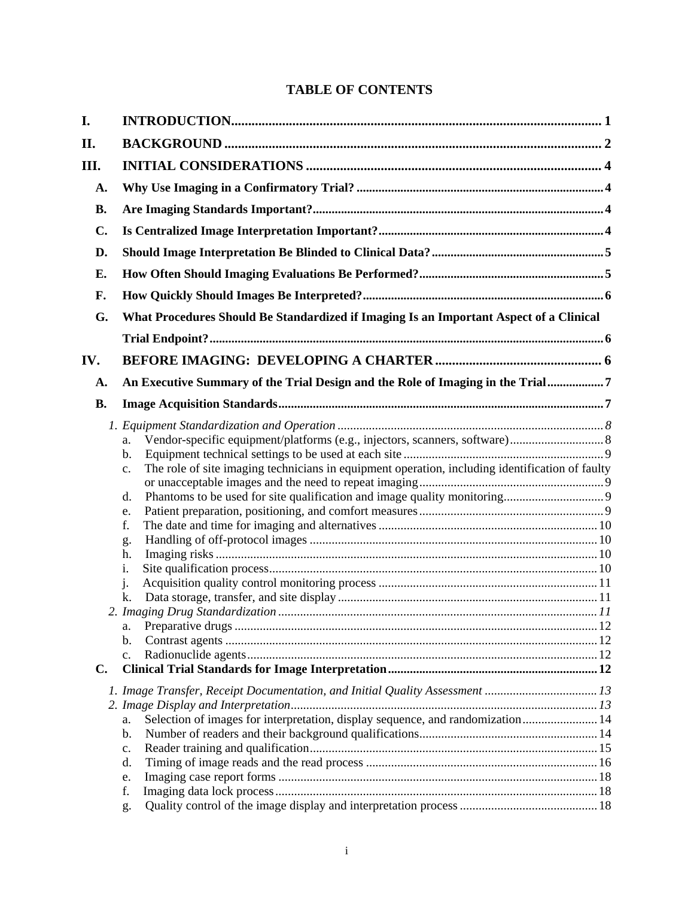## **TABLE OF CONTENTS**

| I.        |                                                                                                                                                                                                                                                                    |  |
|-----------|--------------------------------------------------------------------------------------------------------------------------------------------------------------------------------------------------------------------------------------------------------------------|--|
| II.       |                                                                                                                                                                                                                                                                    |  |
| Ш.        |                                                                                                                                                                                                                                                                    |  |
| A.        |                                                                                                                                                                                                                                                                    |  |
| <b>B.</b> |                                                                                                                                                                                                                                                                    |  |
| C.        |                                                                                                                                                                                                                                                                    |  |
| D.        |                                                                                                                                                                                                                                                                    |  |
| Е.        |                                                                                                                                                                                                                                                                    |  |
| F.        |                                                                                                                                                                                                                                                                    |  |
| G.        | What Procedures Should Be Standardized if Imaging Is an Important Aspect of a Clinical                                                                                                                                                                             |  |
|           |                                                                                                                                                                                                                                                                    |  |
|           |                                                                                                                                                                                                                                                                    |  |
| IV.       |                                                                                                                                                                                                                                                                    |  |
| A.        | An Executive Summary of the Trial Design and the Role of Imaging in the Trial7                                                                                                                                                                                     |  |
| <b>B.</b> |                                                                                                                                                                                                                                                                    |  |
| C.        | Vendor-specific equipment/platforms (e.g., injectors, scanners, software) 8<br>a.<br>b.<br>The role of site imaging technicians in equipment operation, including identification of faulty<br>c.<br>d.<br>e.<br>f.<br>g.<br>h.<br>1.<br>j.<br>k.<br>a.<br>b.<br>c. |  |
|           |                                                                                                                                                                                                                                                                    |  |
|           | Selection of images for interpretation, display sequence, and randomization 14<br>a.<br>b.<br>c.<br>d.<br>e.<br>f.                                                                                                                                                 |  |
|           | g.                                                                                                                                                                                                                                                                 |  |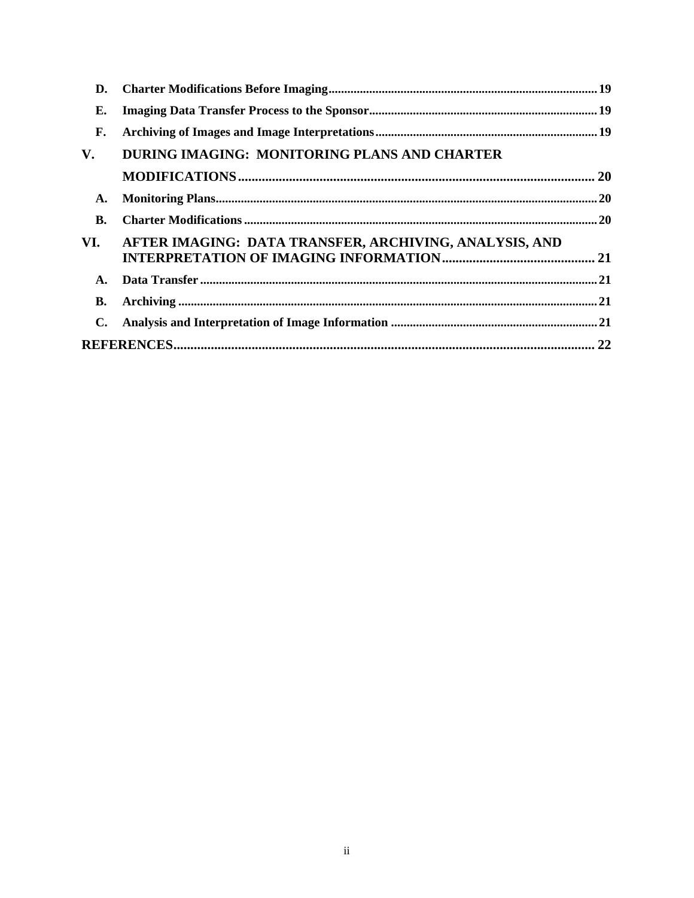| D.        |                                                        |  |
|-----------|--------------------------------------------------------|--|
| Е.        |                                                        |  |
| F.        |                                                        |  |
| V.        | DURING IMAGING: MONITORING PLANS AND CHARTER           |  |
|           |                                                        |  |
| A.        |                                                        |  |
| <b>B.</b> |                                                        |  |
| VI.       | AFTER IMAGING: DATA TRANSFER, ARCHIVING, ANALYSIS, AND |  |
| A.        |                                                        |  |
| В.        |                                                        |  |
| С.        |                                                        |  |
|           |                                                        |  |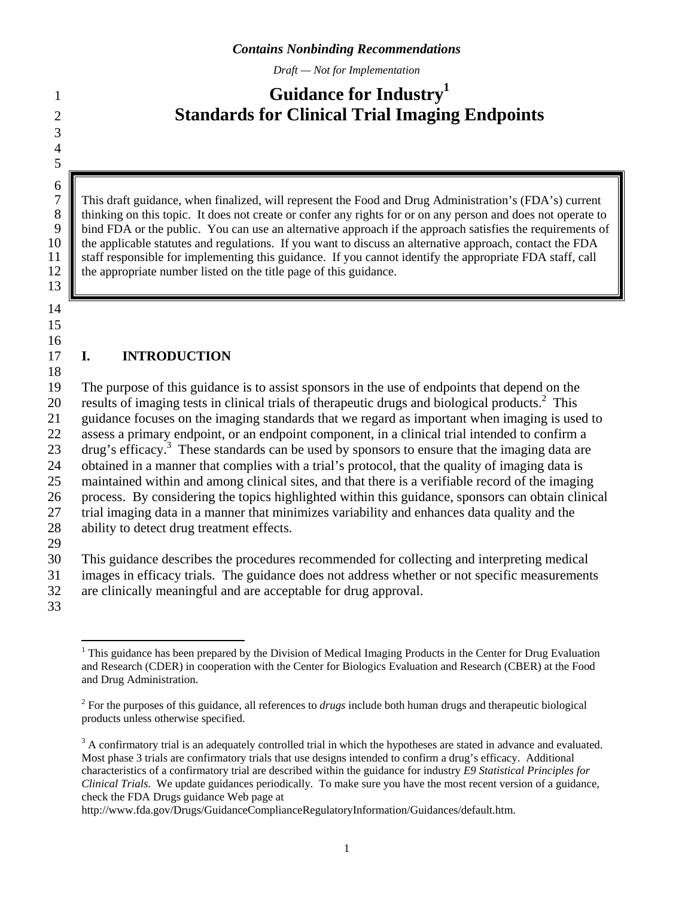*Draft — Not for Implementation* 

## <span id="page-4-0"></span>**1 Guidance for Industry** 2 **Standards for Clinical Trial Imaging Endpoints**

8 thinking on this topic. It does not create or confer any rights for or on any person and does not operate to 7 This draft guidance, when finalized, will represent the Food and Drug Administration's (FDA's) current the Food and Drug Administration's (FDA's) current to thinking on this topic. It does not create or confer any rights 9 bind FDA or the public. You can use an alternative approach if the approach satisfies the requirements of the applicable statutes and regulations. If you want to discuss an alternative approach, contact the FDA 10 the applicable statutes and regulations. If you want to discuss an alternative approach, contact the FDA 11 staff responsible for implementing this guidance. If you cannot identify the appropriate FDA staff, call 12 **the appropriate number listed on the title page of this guidance.** 

13 14

3 4 5

 $rac{6}{7}$ 

15 16

## 17 **I. INTRODUCTION**

18 19 The purpose of this guidance is to assist sponsors in the use of endpoints that depend on the 20 results of imaging tests in clinical trials of therapeutic drugs and biological products.2 This 21 guidance focuses on the imaging standards that we regard as important when imaging is used to 22 assess a primary endpoint, or an endpoint component, in a clinical trial intended to confirm a 23 drug's efficacy.<sup>3</sup> These standards can be used by sponsors to ensure that the imaging data are 24 obtained in a manner that complies with a trial's protocol, that the quality of imaging data is 25 maintained within and among clinical sites, and that there is a verifiable record of the imaging 26 process. By considering the topics highlighted within this guidance, sponsors can obtain clinical 27 trial imaging data in a manner that minimizes variability and enhances data quality and the 28 ability to detect drug treatment effects. 29

30 This guidance describes the procedures recommended for collecting and interpreting medical

31 images in efficacy trials. The guidance does not address whether or not specific measurements

32 are clinically meaningful and are acceptable for drug approval.

33

http://www.fda.gov/Drugs/GuidanceComplianceRegulatoryInformation/Guidances/default.htm.

 $\overline{a}$ and Drug Administration.<br> $2\text{ For the purposes of this.}$ <sup>1</sup> This guidance has been prepared by the Division of Medical Imaging Products in the Center for Drug Evaluation and Research (CDER) in cooperation with the Center for Biologics Evaluation and Research (CBER) at the Food

For the purposes of this guidance, all references to *drugs* include both human drugs and therapeutic biological products unless otherwise specified.

 characteristics of a confirmatory trial are described within the guidance for industry *E9 Statistical Principles for Clinical Trials*. We update guidances periodically. To make sure you have the most recent version of a guidance,  $3$  A confirmatory trial is an adequately controlled trial in which the hypotheses are stated in advance and evaluated. Most phase 3 trials are confirmatory trials that use designs intended to confirm a drug's efficacy. Additional check the FDA Drugs guidance Web page at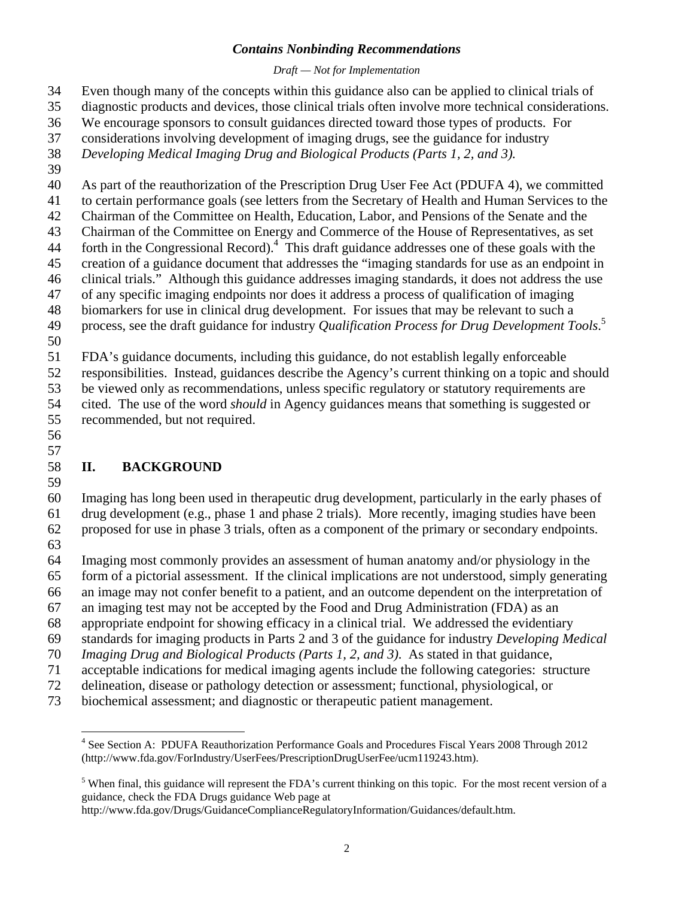#### *Draft — Not for Implementation*

- <span id="page-5-0"></span>34 Even though many of the concepts within this guidance also can be applied to clinical trials of
- 35 diagnostic products and devices, those clinical trials often involve more technical considerations.
- 36 We encourage sponsors to consult guidances directed toward those types of products. For
- 37 considerations involving development of imaging drugs, see the guidance for industry
- 38 *Developing Medical Imaging Drug and Biological Products (Parts 1, 2, and 3).*
- 39
- 40 As part of the reauthorization of the Prescription Drug User Fee Act (PDUFA 4), we committed
- 41 to certain performance goals (see letters from the Secretary of Health and Human Services to the
- 42 Chairman of the Committee on Health, Education, Labor, and Pensions of the Senate and the
- 43 Chairman of the Committee on Energy and Commerce of the House of Representatives, as set 44 forth in the Congressional Record).<sup>4</sup> This draft guidance addresses one of these goals with the
- 45 creation of a guidance document that addresses the "imaging standards for use as an endpoint in
- 46 clinical trials." Although this guidance addresses imaging standards, it does not address the use
- 47 of any specific imaging endpoints nor does it address a process of qualification of imaging
- 48 biomarkers for use in clinical drug development. For issues that may be relevant to such a
- 49 process, see the draft guidance for industry *Qualification Process for Drug Development Tools*. 5
- 50

51 FDA's guidance documents, including this guidance, do not establish legally enforceable

52 responsibilities. Instead, guidances describe the Agency's current thinking on a topic and should

53 be viewed only as recommendations, unless specific regulatory or statutory requirements are

- 54 cited. The use of the word *should* in Agency guidances means that something is suggested or 55 recommended, but not required.
- 56 57

## 58 **II. BACKGROUND**

59

60 Imaging has long been used in therapeutic drug development, particularly in the early phases of 61 drug development (e.g., phase 1 and phase 2 trials). More recently, imaging studies have been 62 proposed for use in phase 3 trials, often as a component of the primary or secondary endpoints.

- 63
- 64 Imaging most commonly provides an assessment of human anatomy and/or physiology in the
- 65 form of a pictorial assessment. If the clinical implications are not understood, simply generating
- 66 an image may not confer benefit to a patient, and an outcome dependent on the interpretation of
- 67 an imaging test may not be accepted by the Food and Drug Administration (FDA) as an
- 68 appropriate endpoint for showing efficacy in a clinical trial. We addressed the evidentiary
- 69 standards for imaging products in Parts 2 and 3 of the guidance for industry *Developing Medical*
- 70 *Imaging Drug and Biological Products (Parts 1, 2, and 3)*. As stated in that guidance,
- 71 acceptable indications for medical imaging agents include the following categories: structure
- 72 delineation, disease or pathology detection or assessment; functional, physiological, or
- 73 biochemical assessment; and diagnostic or therapeutic patient management.

http://www.fda.gov/Drugs/GuidanceComplianceRegulatoryInformation/Guidances/default.htm.

 $\overline{a}$ <sup>4</sup> See Section A: PDUFA Reauthorization Performance Goals and Procedures Fiscal Years 2008 Through 2012 (http://www.fda.gov/ForIndustry/UserFees/PrescriptionDrugUserFee/ucm119243.htm).

<sup>&</sup>lt;sup>5</sup> When final, this guidance will represent the FDA's current thinking on this topic. For the most recent version of a guidance, check the FDA Drugs guidance Web page at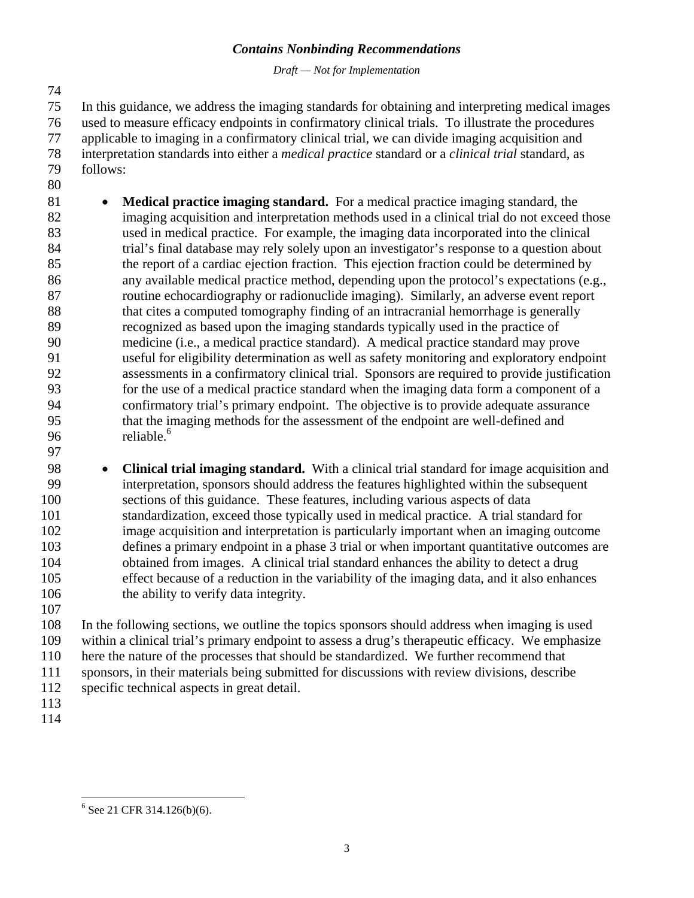*Draft — Not for Implementation* 

74

75 In this guidance, we address the imaging standards for obtaining and interpreting medical images 76 used to measure efficacy endpoints in confirmatory clinical trials. To illustrate the procedures 77 applicable to imaging in a confirmatory clinical trial, we can divide imaging acquisition and 78 interpretation standards into either a *medical practice* standard or a *clinical trial* standard, as 79 follows:

80

96 reliable.<sup>6</sup> 81 • **Medical practice imaging standard.** For a medical practice imaging standard, the 82 imaging acquisition and interpretation methods used in a clinical trial do not exceed those 83 used in medical practice. For example, the imaging data incorporated into the clinical 84 trial's final database may rely solely upon an investigator's response to a question about 85 the report of a cardiac ejection fraction. This ejection fraction could be determined by 86 any available medical practice method, depending upon the protocol's expectations (e.g., 87 routine echocardiography or radionuclide imaging). Similarly, an adverse event report 88 that cites a computed tomography finding of an intracranial hemorrhage is generally 89 recognized as based upon the imaging standards typically used in the practice of 90 medicine (i.e., a medical practice standard). A medical practice standard may prove 91 useful for eligibility determination as well as safety monitoring and exploratory endpoint 92 assessments in a confirmatory clinical trial. Sponsors are required to provide justification 93 for the use of a medical practice standard when the imaging data form a component of a 94 confirmatory trial's primary endpoint. The objective is to provide adequate assurance 95 that the imaging methods for the assessment of the endpoint are well-defined and

97

98 • **Clinical trial imaging standard.** With a clinical trial standard for image acquisition and 99 interpretation, sponsors should address the features highlighted within the subsequent 100 sections of this guidance. These features, including various aspects of data 101 standardization, exceed those typically used in medical practice. A trial standard for 102 image acquisition and interpretation is particularly important when an imaging outcome 103 defines a primary endpoint in a phase 3 trial or when important quantitative outcomes are 104 obtained from images. A clinical trial standard enhances the ability to detect a drug 105 effect because of a reduction in the variability of the imaging data, and it also enhances 106 the ability to verify data integrity. 107

108 In the following sections, we outline the topics sponsors should address when imaging is used 109 within a clinical trial's primary endpoint to assess a drug's therapeutic efficacy. We emphasize 110 here the nature of the processes that should be standardized. We further recommend that 111 sponsors, in their materials being submitted for discussions with review divisions, describe 112 specific technical aspects in great detail.

- 113
- 114

<sup>&</sup>lt;u>.</u>  $6$  See 21 CFR 314.126(b)(6).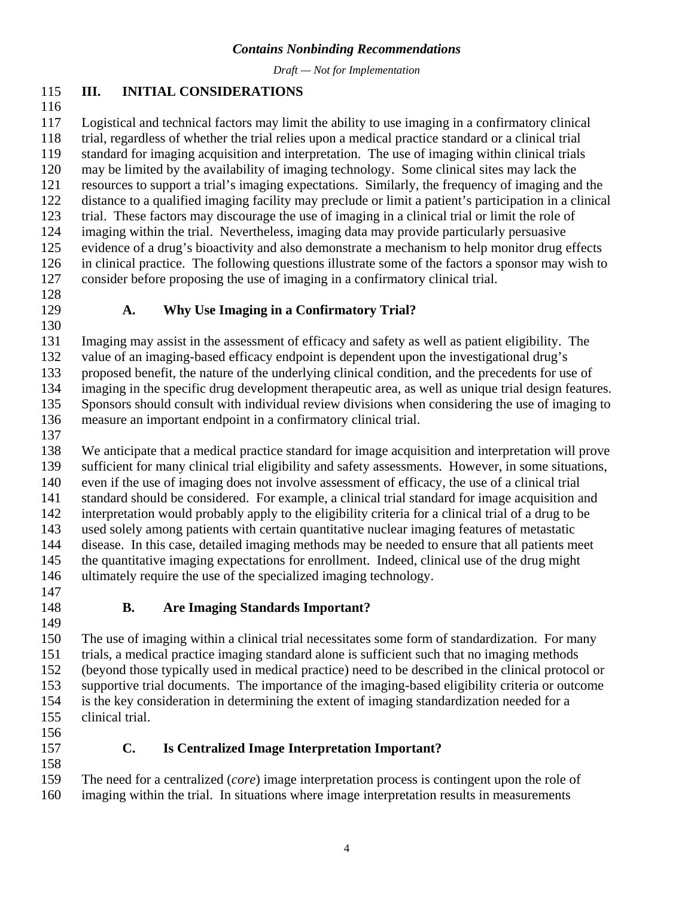*Draft — Not for Implementation* 

#### <span id="page-7-0"></span>115 **III. INITIAL CONSIDERATIONS**

116

117 Logistical and technical factors may limit the ability to use imaging in a confirmatory clinical 118 trial, regardless of whether the trial relies upon a medical practice standard or a clinical trial 119 standard for imaging acquisition and interpretation. The use of imaging within clinical trials 120 may be limited by the availability of imaging technology. Some clinical sites may lack the 121 resources to support a trial's imaging expectations. Similarly, the frequency of imaging and the 122 distance to a qualified imaging facility may preclude or limit a patient's participation in a clinical 123 trial. These factors may discourage the use of imaging in a clinical trial or limit the role of 124 imaging within the trial. Nevertheless, imaging data may provide particularly persuasive 125 evidence of a drug's bioactivity and also demonstrate a mechanism to help monitor drug effects 126 in clinical practice. The following questions illustrate some of the factors a sponsor may wish to 127 consider before proposing the use of imaging in a confirmatory clinical trial.

128

130

#### 129 **A. Why Use Imaging in a Confirmatory Trial?**

131 Imaging may assist in the assessment of efficacy and safety as well as patient eligibility. The 132 value of an imaging-based efficacy endpoint is dependent upon the investigational drug's 133 proposed benefit, the nature of the underlying clinical condition, and the precedents for use of 134 imaging in the specific drug development therapeutic area, as well as unique trial design features.

135 Sponsors should consult with individual review divisions when considering the use of imaging to

- 136 measure an important endpoint in a confirmatory clinical trial.
- 137

138 We anticipate that a medical practice standard for image acquisition and interpretation will prove 139 sufficient for many clinical trial eligibility and safety assessments. However, in some situations, 140 even if the use of imaging does not involve assessment of efficacy, the use of a clinical trial 141 standard should be considered. For example, a clinical trial standard for image acquisition and 142 interpretation would probably apply to the eligibility criteria for a clinical trial of a drug to be 143 used solely among patients with certain quantitative nuclear imaging features of metastatic 144 disease. In this case, detailed imaging methods may be needed to ensure that all patients meet 145 the quantitative imaging expectations for enrollment. Indeed, clinical use of the drug might 146 ultimately require the use of the specialized imaging technology.

- 147
- 

## 148 **B. Are Imaging Standards Important?**

 155 clinical trial. 156 149 150 The use of imaging within a clinical trial necessitates some form of standardization. For many 151 trials, a medical practice imaging standard alone is sufficient such that no imaging methods 152 (beyond those typically used in medical practice) need to be described in the clinical protocol or 153 supportive trial documents. The importance of the imaging-based eligibility criteria or outcome 154 is the key consideration in determining the extent of imaging standardization needed for a

- 
- 158

#### 157 **C. Is Centralized Image Interpretation Important?**

159 The need for a centralized (*core*) image interpretation process is contingent upon the role of 160 imaging within the trial. In situations where image interpretation results in measurements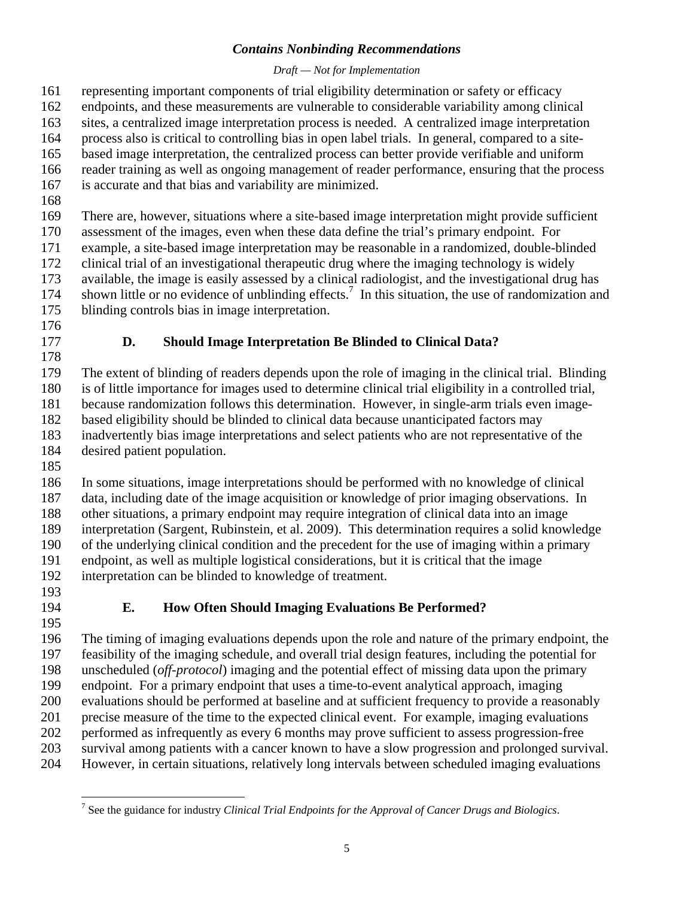#### *Draft — Not for Implementation*

<span id="page-8-0"></span>161 representing important components of trial eligibility determination or safety or efficacy

- 162 endpoints, and these measurements are vulnerable to considerable variability among clinical
- 163 sites, a centralized image interpretation process is needed. A centralized image interpretation
- 164 process also is critical to controlling bias in open label trials. In general, compared to a site-
- 165 based image interpretation, the centralized process can better provide verifiable and uniform 166 reader training as well as ongoing management of reader performance, ensuring that the process
- 167 is accurate and that bias and variability are minimized.
- 168

169 There are, however, situations where a site-based image interpretation might provide sufficient

170 assessment of the images, even when these data define the trial's primary endpoint. For 171 example, a site-based image interpretation may be reasonable in a randomized, double-blinded

172 clinical trial of an investigational therapeutic drug where the imaging technology is widely

173 available, the image is easily assessed by a clinical radiologist, and the investigational drug has

174 shown little or no evidence of unblinding effects.<sup>7</sup> In this situation, the use of randomization and 175 blinding controls bias in image interpretation.

- 176
- 

## 177 **D. Should Image Interpretation Be Blinded to Clinical Data?**

178

179 The extent of blinding of readers depends upon the role of imaging in the clinical trial. Blinding 180 is of little importance for images used to determine clinical trial eligibility in a controlled trial,

181 because randomization follows this determination. However, in single-arm trials even image-

182 based eligibility should be blinded to clinical data because unanticipated factors may

183 inadvertently bias image interpretations and select patients who are not representative of the

184 desired patient population.

185

186 In some situations, image interpretations should be performed with no knowledge of clinical 187 data, including date of the image acquisition or knowledge of prior imaging observations. In

188 other situations, a primary endpoint may require integration of clinical data into an image 189 interpretation (Sargent, Rubinstein, et al. 2009). This determination requires a solid knowledge 190 of the underlying clinical condition and the precedent for the use of imaging within a primary

191 endpoint, as well as multiple logistical considerations, but it is critical that the image 192 interpretation can be blinded to knowledge of treatment.

- 193
- 

## 194 **E. How Often Should Imaging Evaluations Be Performed?**

195 196 The timing of imaging evaluations depends upon the role and nature of the primary endpoint, the 197 feasibility of the imaging schedule, and overall trial design features, including the potential for 198 unscheduled (*off-protocol*) imaging and the potential effect of missing data upon the primary 199 endpoint. For a primary endpoint that uses a time-to-event analytical approach, imaging 200 evaluations should be performed at baseline and at sufficient frequency to provide a reasonably 201 precise measure of the time to the expected clinical event. For example, imaging evaluations 202 performed as infrequently as every 6 months may prove sufficient to assess progression-free 203 survival among patients with a cancer known to have a slow progression and prolonged survival. 204 However, in certain situations, relatively long intervals between scheduled imaging evaluations

 $\overline{a}$ 7 See the guidance for industry *Clinical Trial Endpoints for the Approval of Cancer Drugs and Biologics*.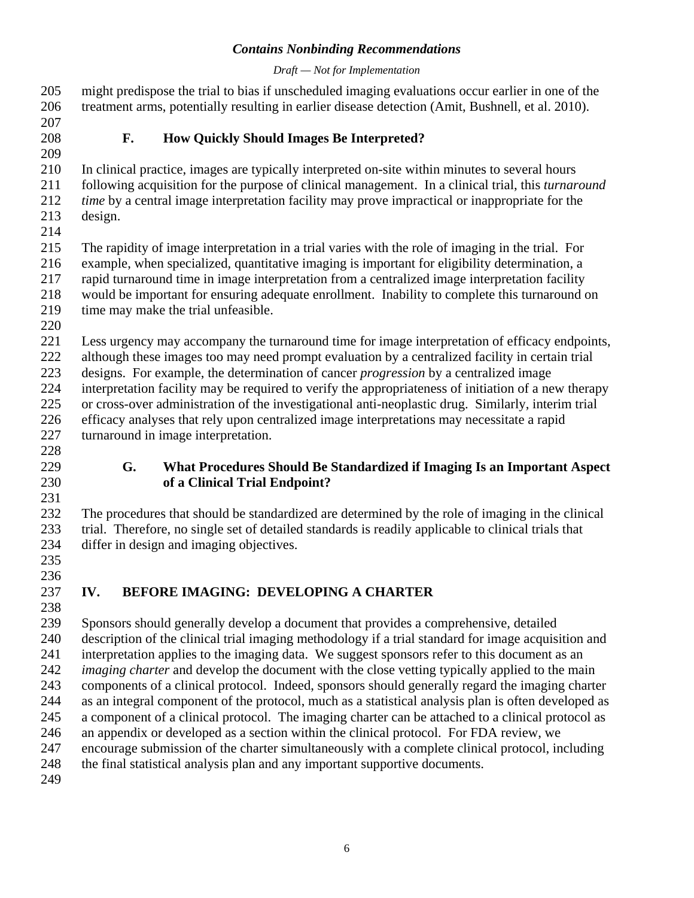#### *Draft — Not for Implementation*

<span id="page-9-0"></span>205 might predispose the trial to bias if unscheduled imaging evaluations occur earlier in one of the 206 treatment arms, potentially resulting in earlier disease detection (Amit, Bushnell, et al. 2010). 207 208 **F. How Quickly Should Images Be Interpreted?**  209 210 In clinical practice, images are typically interpreted on-site within minutes to several hours 211 following acquisition for the purpose of clinical management. In a clinical trial, this *turnaround*  212 *time* by a central image interpretation facility may prove impractical or inappropriate for the 213 design. 214 215 The rapidity of image interpretation in a trial varies with the role of imaging in the trial. For 216 example, when specialized, quantitative imaging is important for eligibility determination, a 217 rapid turnaround time in image interpretation from a centralized image interpretation facility 218 would be important for ensuring adequate enrollment. Inability to complete this turnaround on 219 time may make the trial unfeasible. 220 221 Less urgency may accompany the turnaround time for image interpretation of efficacy endpoints, 222 although these images too may need prompt evaluation by a centralized facility in certain trial 223 designs. For example, the determination of cancer *progression* by a centralized image 224 interpretation facility may be required to verify the appropriateness of initiation of a new therapy 225 or cross-over administration of the investigational anti-neoplastic drug. Similarly, interim trial 226 efficacy analyses that rely upon centralized image interpretations may necessitate a rapid 227 turnaround in image interpretation. 228 229 **G. What Procedures Should Be Standardized if Imaging Is an Important Aspect**  230 **of a Clinical Trial Endpoint?**  231 232 The procedures that should be standardized are determined by the role of imaging in the clinical

233 trial. Therefore, no single set of detailed standards is readily applicable to clinical trials that 234 differ in design and imaging objectives.

235 236

## 237 **IV. BEFORE IMAGING: DEVELOPING A CHARTER**

238

239 Sponsors should generally develop a document that provides a comprehensive, detailed 240 description of the clinical trial imaging methodology if a trial standard for image acquisition and 241 interpretation applies to the imaging data. We suggest sponsors refer to this document as an 242 *imaging charter* and develop the document with the close vetting typically applied to the main 243 components of a clinical protocol. Indeed, sponsors should generally regard the imaging charter 244 as an integral component of the protocol, much as a statistical analysis plan is often developed as 245 a component of a clinical protocol. The imaging charter can be attached to a clinical protocol as 246 an appendix or developed as a section within the clinical protocol. For FDA review, we 247 encourage submission of the charter simultaneously with a complete clinical protocol, including 248 the final statistical analysis plan and any important supportive documents. 249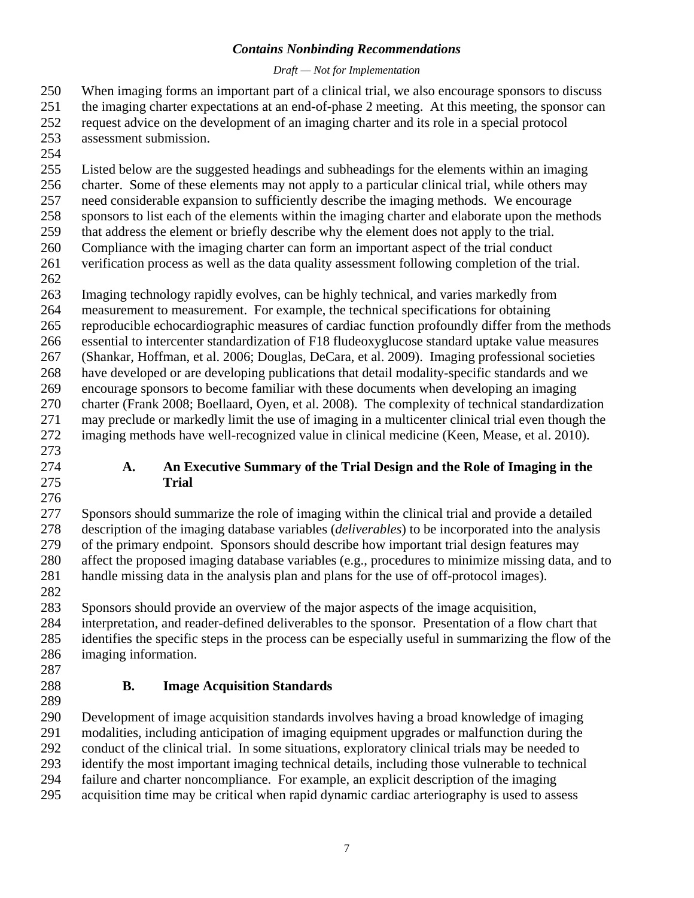#### *Draft — Not for Implementation*

<span id="page-10-0"></span>250 When imaging forms an important part of a clinical trial, we also encourage sponsors to discuss

251 the imaging charter expectations at an end-of-phase 2 meeting. At this meeting, the sponsor can

- 252 request advice on the development of an imaging charter and its role in a special protocol 253 assessment submission.
- 254

255 Listed below are the suggested headings and subheadings for the elements within an imaging

256 charter. Some of these elements may not apply to a particular clinical trial, while others may

257 need considerable expansion to sufficiently describe the imaging methods. We encourage

258 sponsors to list each of the elements within the imaging charter and elaborate upon the methods

259 that address the element or briefly describe why the element does not apply to the trial.

260 Compliance with the imaging charter can form an important aspect of the trial conduct 261 verification process as well as the data quality assessment following completion of the trial.

262

263 Imaging technology rapidly evolves, can be highly technical, and varies markedly from

264 measurement to measurement. For example, the technical specifications for obtaining

265 reproducible echocardiographic measures of cardiac function profoundly differ from the methods

266 essential to intercenter standardization of F18 fludeoxyglucose standard uptake value measures

267 (Shankar, Hoffman, et al. 2006; Douglas, DeCara, et al. 2009). Imaging professional societies 268 have developed or are developing publications that detail modality-specific standards and we 269 encourage sponsors to become familiar with these documents when developing an imaging 270 charter (Frank 2008; Boellaard, Oyen, et al. 2008). The complexity of technical standardization 271 may preclude or markedly limit the use of imaging in a multicenter clinical trial even though the 272 imaging methods have well-recognized value in clinical medicine (Keen, Mease, et al. 2010).

- 273
- 

276

#### 274 **A. An Executive Summary of the Trial Design and the Role of Imaging in the**  275 **Trial**

277 Sponsors should summarize the role of imaging within the clinical trial and provide a detailed 278 description of the imaging database variables (*deliverables*) to be incorporated into the analysis 279 of the primary endpoint. Sponsors should describe how important trial design features may 280 affect the proposed imaging database variables (e.g., procedures to minimize missing data, and to 281 handle missing data in the analysis plan and plans for the use of off-protocol images). 282

283 Sponsors should provide an overview of the major aspects of the image acquisition,

284 interpretation, and reader-defined deliverables to the sponsor. Presentation of a flow chart that 285 identifies the specific steps in the process can be especially useful in summarizing the flow of the 286 imaging information.

287

## 288 **B. Image Acquisition Standards**

289 290 Development of image acquisition standards involves having a broad knowledge of imaging 291 modalities, including anticipation of imaging equipment upgrades or malfunction during the 292 conduct of the clinical trial. In some situations, exploratory clinical trials may be needed to 293 identify the most important imaging technical details, including those vulnerable to technical 294 failure and charter noncompliance. For example, an explicit description of the imaging 295 acquisition time may be critical when rapid dynamic cardiac arteriography is used to assess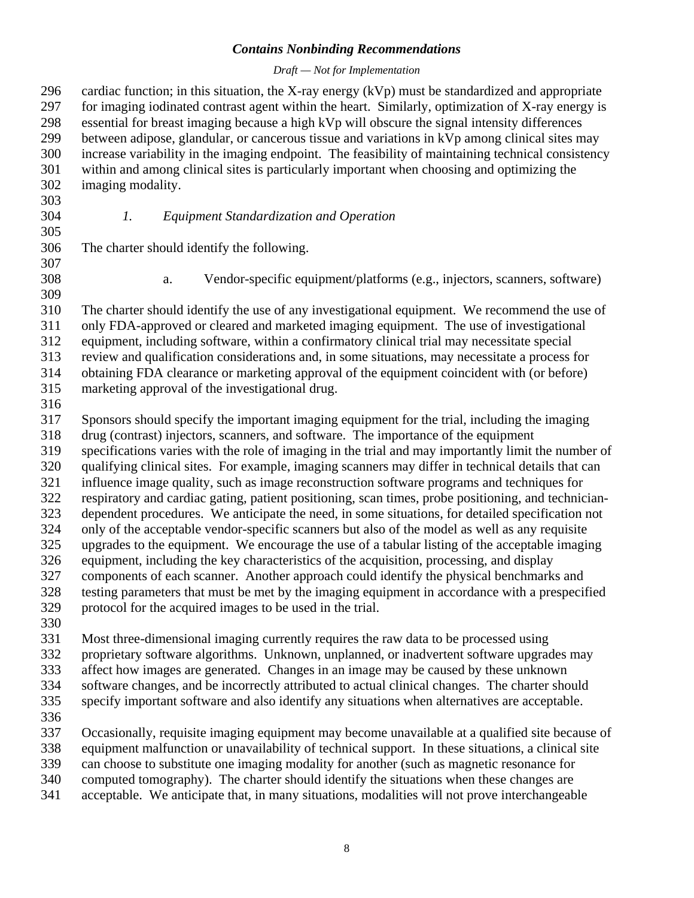#### *Draft — Not for Implementation*

<span id="page-11-0"></span>296 cardiac function; in this situation, the X-ray energy  $(kVp)$  must be standardized and appropriate 297 for imaging iodinated contrast agent within the heart. Similarly, optimization of X-ray energy is 298 essential for breast imaging because a high kVp will obscure the signal intensity differences 299 between adipose, glandular, or cancerous tissue and variations in kVp among clinical sites may 300 increase variability in the imaging endpoint. The feasibility of maintaining technical consistency 301 within and among clinical sites is particularly important when choosing and optimizing the 302 imaging modality.

303 305

304 *1. Equipment Standardization and Operation* 

306 The charter should identify the following.

307 309

308 a. Vendor-specific equipment/platforms (e.g., injectors, scanners, software)

310 The charter should identify the use of any investigational equipment. We recommend the use of 311 only FDA-approved or cleared and marketed imaging equipment. The use of investigational 312 equipment, including software, within a confirmatory clinical trial may necessitate special

313 review and qualification considerations and, in some situations, may necessitate a process for

314 obtaining FDA clearance or marketing approval of the equipment coincident with (or before)

315 marketing approval of the investigational drug.

316

317 Sponsors should specify the important imaging equipment for the trial, including the imaging 318 drug (contrast) injectors, scanners, and software. The importance of the equipment 319 specifications varies with the role of imaging in the trial and may importantly limit the number of 320 qualifying clinical sites. For example, imaging scanners may differ in technical details that can 321 influence image quality, such as image reconstruction software programs and techniques for 322 respiratory and cardiac gating, patient positioning, scan times, probe positioning, and technician-323 dependent procedures. We anticipate the need, in some situations, for detailed specification not 324 only of the acceptable vendor-specific scanners but also of the model as well as any requisite 325 upgrades to the equipment. We encourage the use of a tabular listing of the acceptable imaging 326 equipment, including the key characteristics of the acquisition, processing, and display 327 components of each scanner. Another approach could identify the physical benchmarks and 328 testing parameters that must be met by the imaging equipment in accordance with a prespecified 329 protocol for the acquired images to be used in the trial.

330

331 Most three-dimensional imaging currently requires the raw data to be processed using

332 proprietary software algorithms. Unknown, unplanned, or inadvertent software upgrades may

333 affect how images are generated. Changes in an image may be caused by these unknown

334 software changes, and be incorrectly attributed to actual clinical changes. The charter should

335 specify important software and also identify any situations when alternatives are acceptable.

336

337 Occasionally, requisite imaging equipment may become unavailable at a qualified site because of

338 equipment malfunction or unavailability of technical support. In these situations, a clinical site

339 can choose to substitute one imaging modality for another (such as magnetic resonance for

340 computed tomography). The charter should identify the situations when these changes are

341 acceptable. We anticipate that, in many situations, modalities will not prove interchangeable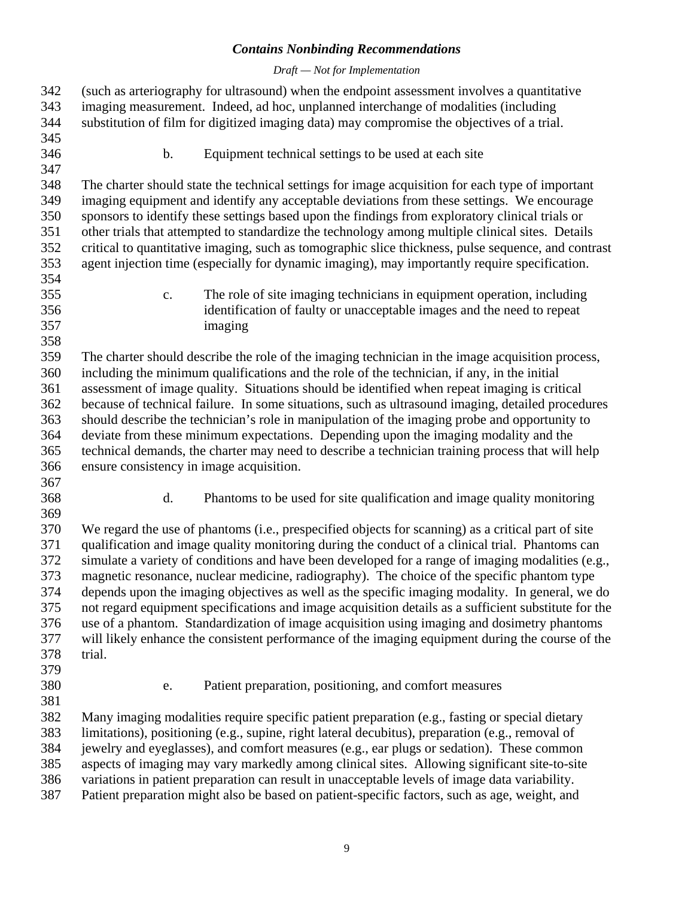#### *Draft — Not for Implementation*

<span id="page-12-0"></span>

| 342 | (such as arteriography for ultrasound) when the endpoint assessment involves a quantitative          |
|-----|------------------------------------------------------------------------------------------------------|
| 343 | imaging measurement. Indeed, ad hoc, unplanned interchange of modalities (including                  |
| 344 | substitution of film for digitized imaging data) may compromise the objectives of a trial.           |
| 345 |                                                                                                      |
| 346 | b.<br>Equipment technical settings to be used at each site                                           |
| 347 |                                                                                                      |
| 348 | The charter should state the technical settings for image acquisition for each type of important     |
| 349 | imaging equipment and identify any acceptable deviations from these settings. We encourage           |
| 350 | sponsors to identify these settings based upon the findings from exploratory clinical trials or      |
| 351 | other trials that attempted to standardize the technology among multiple clinical sites. Details     |
| 352 | critical to quantitative imaging, such as tomographic slice thickness, pulse sequence, and contrast  |
| 353 | agent injection time (especially for dynamic imaging), may importantly require specification.        |
| 354 |                                                                                                      |
| 355 | The role of site imaging technicians in equipment operation, including<br>$\mathbf{c}$ .             |
| 356 | identification of faulty or unacceptable images and the need to repeat                               |
| 357 | imaging                                                                                              |
| 358 |                                                                                                      |
| 359 | The charter should describe the role of the imaging technician in the image acquisition process,     |
| 360 | including the minimum qualifications and the role of the technician, if any, in the initial          |
| 361 | assessment of image quality. Situations should be identified when repeat imaging is critical         |
| 362 | because of technical failure. In some situations, such as ultrasound imaging, detailed procedures    |
| 363 | should describe the technician's role in manipulation of the imaging probe and opportunity to        |
| 364 | deviate from these minimum expectations. Depending upon the imaging modality and the                 |
| 365 | technical demands, the charter may need to describe a technician training process that will help     |
| 366 | ensure consistency in image acquisition.                                                             |
| 367 |                                                                                                      |
| 368 | d.<br>Phantoms to be used for site qualification and image quality monitoring                        |
| 369 |                                                                                                      |
| 370 | We regard the use of phantoms (i.e., prespecified objects for scanning) as a critical part of site   |
| 371 | qualification and image quality monitoring during the conduct of a clinical trial. Phantoms can      |
| 372 | simulate a variety of conditions and have been developed for a range of imaging modalities (e.g.,    |
| 373 | magnetic resonance, nuclear medicine, radiography). The choice of the specific phantom type          |
| 374 | depends upon the imaging objectives as well as the specific imaging modality. In general, we do      |
| 375 | not regard equipment specifications and image acquisition details as a sufficient substitute for the |
| 376 | use of a phantom. Standardization of image acquisition using imaging and dosimetry phantoms          |
| 377 | will likely enhance the consistent performance of the imaging equipment during the course of the     |
| 378 | trial.                                                                                               |
| 379 |                                                                                                      |
| 380 | Patient preparation, positioning, and comfort measures<br>e.                                         |
| 381 |                                                                                                      |
| 382 | Many imaging modalities require specific patient preparation (e.g., fasting or special dietary       |
| 383 | limitations), positioning (e.g., supine, right lateral decubitus), preparation (e.g., removal of     |
| 384 | jewelry and eyeglasses), and comfort measures (e.g., ear plugs or sedation). These common            |
| 385 | aspects of imaging may vary markedly among clinical sites. Allowing significant site-to-site         |
| 386 | variations in patient preparation can result in unacceptable levels of image data variability.       |
| 207 | Detient agreemetics wight also be begad on potient angelfie fectors, web as easy                     |

387 Patient preparation might also be based on patient-specific factors, such as age, weight, and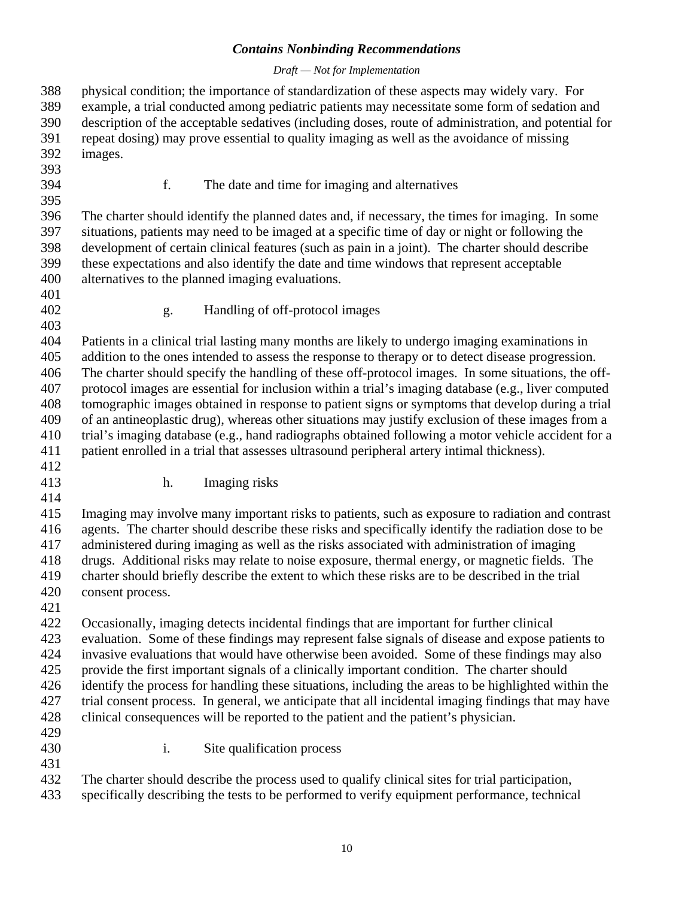#### *Draft — Not for Implementation*

<span id="page-13-0"></span>388 physical condition; the importance of standardization of these aspects may widely vary. For 389 example, a trial conducted among pediatric patients may necessitate some form of sedation and 390 description of the acceptable sedatives (including doses, route of administration, and potential for 391 repeat dosing) may prove essential to quality imaging as well as the avoidance of missing 392 images. 393 394 f. The date and time for imaging and alternatives 395 396 The charter should identify the planned dates and, if necessary, the times for imaging. In some 397 situations, patients may need to be imaged at a specific time of day or night or following the 398 development of certain clinical features (such as pain in a joint). The charter should describe 399 these expectations and also identify the date and time windows that represent acceptable 400 alternatives to the planned imaging evaluations. 401 402 g. Handling of off-protocol images 403 404 Patients in a clinical trial lasting many months are likely to undergo imaging examinations in 405 addition to the ones intended to assess the response to therapy or to detect disease progression. 406 The charter should specify the handling of these off-protocol images. In some situations, the off-407 protocol images are essential for inclusion within a trial's imaging database (e.g., liver computed 408 tomographic images obtained in response to patient signs or symptoms that develop during a trial 409 of an antineoplastic drug), whereas other situations may justify exclusion of these images from a 410 trial's imaging database (e.g., hand radiographs obtained following a motor vehicle accident for a 411 patient enrolled in a trial that assesses ultrasound peripheral artery intimal thickness). 412 413 h. Imaging risks 414 415 Imaging may involve many important risks to patients, such as exposure to radiation and contrast 416 agents. The charter should describe these risks and specifically identify the radiation dose to be 417 administered during imaging as well as the risks associated with administration of imaging 418 drugs. Additional risks may relate to noise exposure, thermal energy, or magnetic fields. The 419 charter should briefly describe the extent to which these risks are to be described in the trial 420 consent process. 421 422 Occasionally, imaging detects incidental findings that are important for further clinical 423 evaluation. Some of these findings may represent false signals of disease and expose patients to 424 invasive evaluations that would have otherwise been avoided. Some of these findings may also 425 provide the first important signals of a clinically important condition. The charter should 426 identify the process for handling these situations, including the areas to be highlighted within the 427 trial consent process. In general, we anticipate that all incidental imaging findings that may have 428 clinical consequences will be reported to the patient and the patient's physician. 429 430 i. Site qualification process 431 432 The charter should describe the process used to qualify clinical sites for trial participation, 433 specifically describing the tests to be performed to verify equipment performance, technical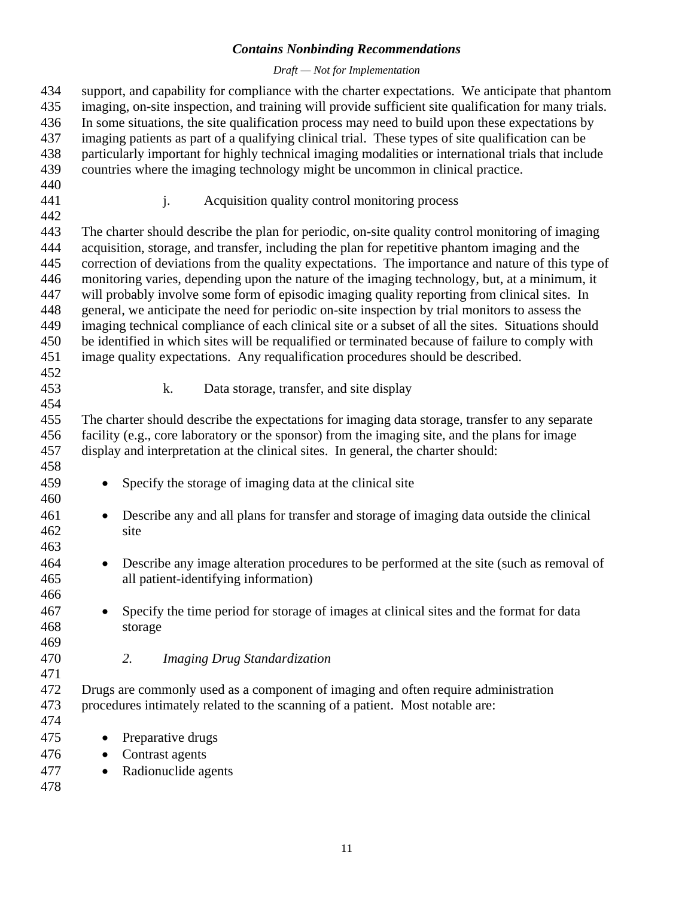#### *Draft — Not for Implementation*

<span id="page-14-0"></span>

| 434 | support, and capability for compliance with the charter expectations. We anticipate that phantom      |  |  |
|-----|-------------------------------------------------------------------------------------------------------|--|--|
| 435 | imaging, on-site inspection, and training will provide sufficient site qualification for many trials. |  |  |
| 436 | In some situations, the site qualification process may need to build upon these expectations by       |  |  |
| 437 | imaging patients as part of a qualifying clinical trial. These types of site qualification can be     |  |  |
| 438 | particularly important for highly technical imaging modalities or international trials that include   |  |  |
| 439 | countries where the imaging technology might be uncommon in clinical practice.                        |  |  |
| 440 |                                                                                                       |  |  |
| 441 | j.<br>Acquisition quality control monitoring process                                                  |  |  |
| 442 |                                                                                                       |  |  |
| 443 | The charter should describe the plan for periodic, on-site quality control monitoring of imaging      |  |  |
| 444 | acquisition, storage, and transfer, including the plan for repetitive phantom imaging and the         |  |  |
| 445 | correction of deviations from the quality expectations. The importance and nature of this type of     |  |  |
| 446 | monitoring varies, depending upon the nature of the imaging technology, but, at a minimum, it         |  |  |
| 447 | will probably involve some form of episodic imaging quality reporting from clinical sites. In         |  |  |
| 448 | general, we anticipate the need for periodic on-site inspection by trial monitors to assess the       |  |  |
| 449 | imaging technical compliance of each clinical site or a subset of all the sites. Situations should    |  |  |
| 450 | be identified in which sites will be requalified or terminated because of failure to comply with      |  |  |
| 451 | image quality expectations. Any requalification procedures should be described.                       |  |  |
| 452 |                                                                                                       |  |  |
| 453 | k.<br>Data storage, transfer, and site display                                                        |  |  |
| 454 |                                                                                                       |  |  |
| 455 | The charter should describe the expectations for imaging data storage, transfer to any separate       |  |  |
| 456 | facility (e.g., core laboratory or the sponsor) from the imaging site, and the plans for image        |  |  |
| 457 | display and interpretation at the clinical sites. In general, the charter should:                     |  |  |
| 458 |                                                                                                       |  |  |
| 459 | Specify the storage of imaging data at the clinical site<br>$\bullet$                                 |  |  |
| 460 |                                                                                                       |  |  |
| 461 | Describe any and all plans for transfer and storage of imaging data outside the clinical              |  |  |
|     |                                                                                                       |  |  |
| 462 | site                                                                                                  |  |  |
| 463 |                                                                                                       |  |  |
| 464 | Describe any image alteration procedures to be performed at the site (such as removal of<br>$\bullet$ |  |  |
| 465 | all patient-identifying information)                                                                  |  |  |
| 466 |                                                                                                       |  |  |
| 467 | Specify the time period for storage of images at clinical sites and the format for data               |  |  |
| 468 | storage                                                                                               |  |  |
| 469 |                                                                                                       |  |  |
| 470 | 2.<br><b>Imaging Drug Standardization</b>                                                             |  |  |
| 471 |                                                                                                       |  |  |
| 472 | Drugs are commonly used as a component of imaging and often require administration                    |  |  |
| 473 | procedures intimately related to the scanning of a patient. Most notable are:                         |  |  |
| 474 |                                                                                                       |  |  |
| 475 | Preparative drugs<br>$\bullet$                                                                        |  |  |
| 476 | Contrast agents                                                                                       |  |  |
| 477 | Radionuclide agents<br>$\bullet$                                                                      |  |  |

478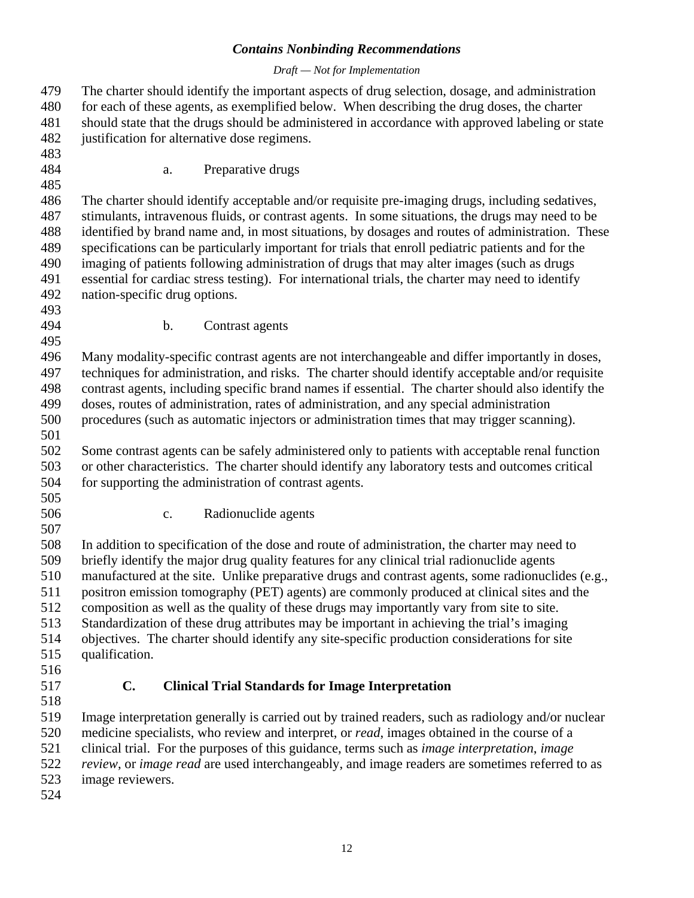#### *Draft — Not for Implementation*

<span id="page-15-0"></span>

| 479<br>480<br>481<br>482<br>483 | The charter should identify the important aspects of drug selection, dosage, and administration<br>for each of these agents, as exemplified below. When describing the drug doses, the charter<br>should state that the drugs should be administered in accordance with approved labeling or state<br>justification for alternative dose regimens. |
|---------------------------------|----------------------------------------------------------------------------------------------------------------------------------------------------------------------------------------------------------------------------------------------------------------------------------------------------------------------------------------------------|
| 484                             | Preparative drugs<br>a.                                                                                                                                                                                                                                                                                                                            |
| 485                             |                                                                                                                                                                                                                                                                                                                                                    |
| 486                             | The charter should identify acceptable and/or requisite pre-imaging drugs, including sedatives,                                                                                                                                                                                                                                                    |
| 487                             | stimulants, intravenous fluids, or contrast agents. In some situations, the drugs may need to be                                                                                                                                                                                                                                                   |
| 488<br>489                      | identified by brand name and, in most situations, by dosages and routes of administration. These                                                                                                                                                                                                                                                   |
| 490                             | specifications can be particularly important for trials that enroll pediatric patients and for the<br>imaging of patients following administration of drugs that may alter images (such as drugs                                                                                                                                                   |
| 491                             | essential for cardiac stress testing). For international trials, the charter may need to identify                                                                                                                                                                                                                                                  |
| 492                             | nation-specific drug options.                                                                                                                                                                                                                                                                                                                      |
| 493                             |                                                                                                                                                                                                                                                                                                                                                    |
| 494                             | b.<br>Contrast agents                                                                                                                                                                                                                                                                                                                              |
| 495                             |                                                                                                                                                                                                                                                                                                                                                    |
| 496                             | Many modality-specific contrast agents are not interchangeable and differ importantly in doses,                                                                                                                                                                                                                                                    |
| 497                             | techniques for administration, and risks. The charter should identify acceptable and/or requisite                                                                                                                                                                                                                                                  |
| 498                             | contrast agents, including specific brand names if essential. The charter should also identify the                                                                                                                                                                                                                                                 |
| 499                             | doses, routes of administration, rates of administration, and any special administration                                                                                                                                                                                                                                                           |
| 500                             | procedures (such as automatic injectors or administration times that may trigger scanning).                                                                                                                                                                                                                                                        |
| 501                             |                                                                                                                                                                                                                                                                                                                                                    |
| 502                             | Some contrast agents can be safely administered only to patients with acceptable renal function                                                                                                                                                                                                                                                    |
| 503                             | or other characteristics. The charter should identify any laboratory tests and outcomes critical                                                                                                                                                                                                                                                   |
| 504                             | for supporting the administration of contrast agents.                                                                                                                                                                                                                                                                                              |
| 505                             |                                                                                                                                                                                                                                                                                                                                                    |
| 506<br>507                      | Radionuclide agents<br>$\mathbf{c}$ .                                                                                                                                                                                                                                                                                                              |
| 508                             | In addition to specification of the dose and route of administration, the charter may need to                                                                                                                                                                                                                                                      |
| 509                             | briefly identify the major drug quality features for any clinical trial radionuclide agents                                                                                                                                                                                                                                                        |
| 510                             | manufactured at the site. Unlike preparative drugs and contrast agents, some radionuclides (e.g.,                                                                                                                                                                                                                                                  |
| 511                             | positron emission tomography (PET) agents) are commonly produced at clinical sites and the                                                                                                                                                                                                                                                         |
| 512                             | composition as well as the quality of these drugs may importantly vary from site to site.                                                                                                                                                                                                                                                          |
| 513                             | Standardization of these drug attributes may be important in achieving the trial's imaging                                                                                                                                                                                                                                                         |
| 514                             | objectives. The charter should identify any site-specific production considerations for site                                                                                                                                                                                                                                                       |
| 515                             | qualification.                                                                                                                                                                                                                                                                                                                                     |
| 516                             |                                                                                                                                                                                                                                                                                                                                                    |
| 517                             | C.<br><b>Clinical Trial Standards for Image Interpretation</b>                                                                                                                                                                                                                                                                                     |
| 518                             |                                                                                                                                                                                                                                                                                                                                                    |
| 519                             | Image interpretation generally is carried out by trained readers, such as radiology and/or nuclear                                                                                                                                                                                                                                                 |
| 520                             | medicine specialists, who review and interpret, or <i>read</i> , images obtained in the course of a                                                                                                                                                                                                                                                |
| 521                             | clinical trial. For the purposes of this guidance, terms such as <i>image interpretation</i> , <i>image</i>                                                                                                                                                                                                                                        |
| 522                             | review, or image read are used interchangeably, and image readers are sometimes referred to as                                                                                                                                                                                                                                                     |
| 523                             | image reviewers.                                                                                                                                                                                                                                                                                                                                   |

524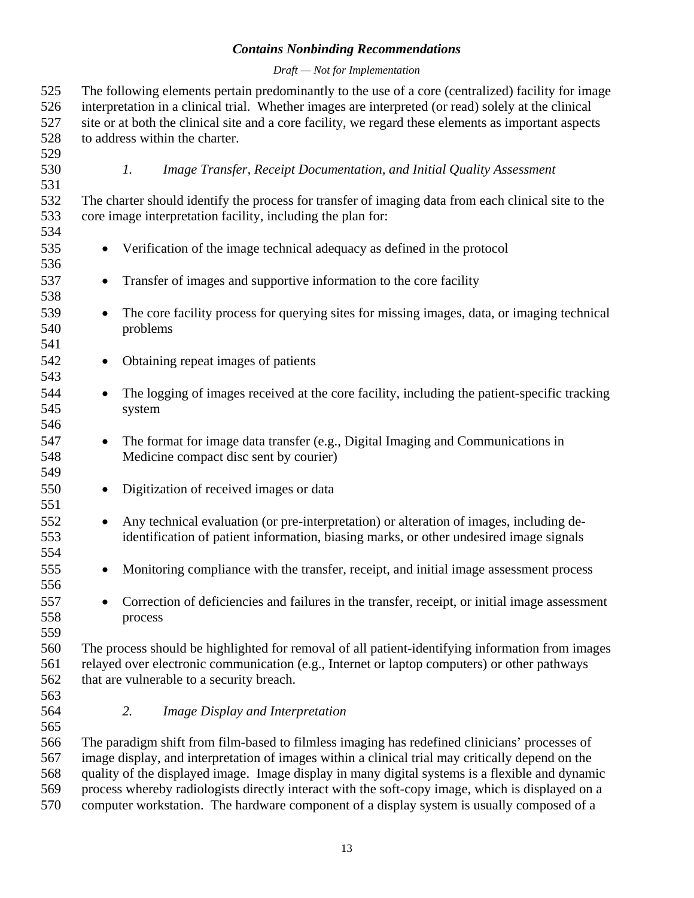#### *Draft — Not for Implementation*

<span id="page-16-0"></span>

| 525<br>526<br>527<br>528 | The following elements pertain predominantly to the use of a core (centralized) facility for image<br>interpretation in a clinical trial. Whether images are interpreted (or read) solely at the clinical<br>site or at both the clinical site and a core facility, we regard these elements as important aspects<br>to address within the charter. |  |
|--------------------------|-----------------------------------------------------------------------------------------------------------------------------------------------------------------------------------------------------------------------------------------------------------------------------------------------------------------------------------------------------|--|
| 529<br>530<br>531        | $\mathfrak{1}.$<br>Image Transfer, Receipt Documentation, and Initial Quality Assessment                                                                                                                                                                                                                                                            |  |
| 532<br>533<br>534        | The charter should identify the process for transfer of imaging data from each clinical site to the<br>core image interpretation facility, including the plan for:                                                                                                                                                                                  |  |
| 535<br>536               | Verification of the image technical adequacy as defined in the protocol                                                                                                                                                                                                                                                                             |  |
| 537<br>538               | Transfer of images and supportive information to the core facility<br>$\bullet$                                                                                                                                                                                                                                                                     |  |
| 539<br>540<br>541        | The core facility process for querying sites for missing images, data, or imaging technical<br>$\bullet$<br>problems                                                                                                                                                                                                                                |  |
| 542<br>543               | Obtaining repeat images of patients<br>$\bullet$                                                                                                                                                                                                                                                                                                    |  |
| 544<br>545<br>546        | The logging of images received at the core facility, including the patient-specific tracking<br>system                                                                                                                                                                                                                                              |  |
| 547<br>548<br>549        | The format for image data transfer (e.g., Digital Imaging and Communications in<br>$\bullet$<br>Medicine compact disc sent by courier)                                                                                                                                                                                                              |  |
| 550<br>551               | Digitization of received images or data                                                                                                                                                                                                                                                                                                             |  |
| 552<br>553<br>554        | Any technical evaluation (or pre-interpretation) or alteration of images, including de-<br>$\bullet$<br>identification of patient information, biasing marks, or other undesired image signals                                                                                                                                                      |  |
| 555<br>556               | Monitoring compliance with the transfer, receipt, and initial image assessment process                                                                                                                                                                                                                                                              |  |
| 557<br>558<br>559        | Correction of deficiencies and failures in the transfer, receipt, or initial image assessment<br>process                                                                                                                                                                                                                                            |  |
| 560<br>561<br>562<br>563 | The process should be highlighted for removal of all patient-identifying information from images<br>relayed over electronic communication (e.g., Internet or laptop computers) or other pathways<br>that are vulnerable to a security breach.                                                                                                       |  |
| 564<br>565               | 2.<br>Image Display and Interpretation                                                                                                                                                                                                                                                                                                              |  |
| 566<br>567<br>568        | The paradigm shift from film-based to filmless imaging has redefined clinicians' processes of<br>image display, and interpretation of images within a clinical trial may critically depend on the<br>quality of the displayed image. Image display in many digital systems is a flexible and dynamic                                                |  |

569 process whereby radiologists directly interact with the soft-copy image, which is displayed on a 570 computer workstation. The hardware component of a display system is usually composed of a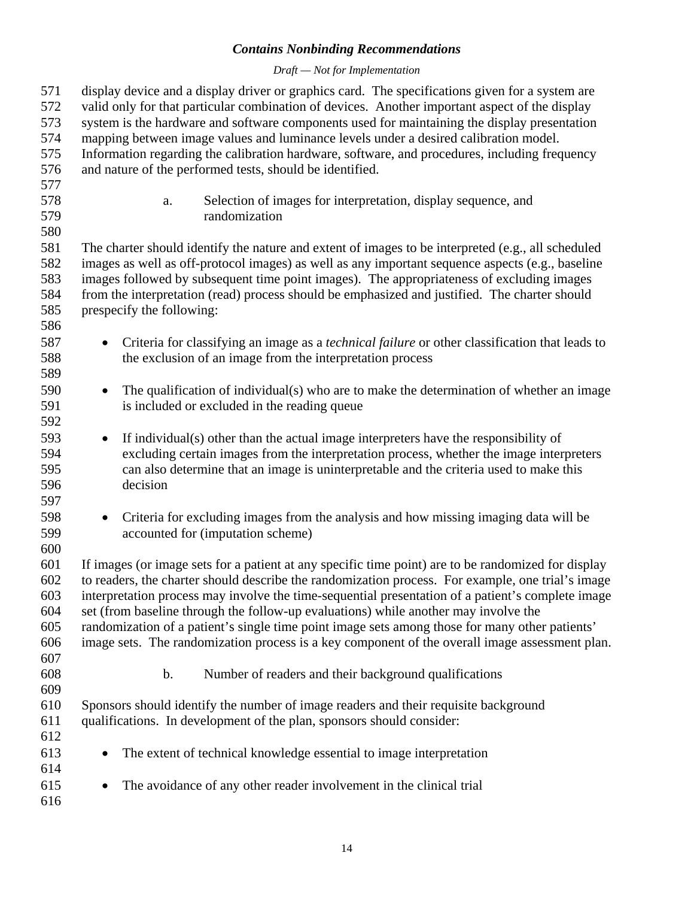#### *Draft — Not for Implementation*

<span id="page-17-0"></span>

| 571<br>572<br>573<br>574<br>575<br>576<br>577 | display device and a display driver or graphics card. The specifications given for a system are<br>valid only for that particular combination of devices. Another important aspect of the display<br>system is the hardware and software components used for maintaining the display presentation<br>mapping between image values and luminance levels under a desired calibration model.<br>Information regarding the calibration hardware, software, and procedures, including frequency<br>and nature of the performed tests, should be identified.                                                   |
|-----------------------------------------------|----------------------------------------------------------------------------------------------------------------------------------------------------------------------------------------------------------------------------------------------------------------------------------------------------------------------------------------------------------------------------------------------------------------------------------------------------------------------------------------------------------------------------------------------------------------------------------------------------------|
| 578<br>579<br>580                             | Selection of images for interpretation, display sequence, and<br>a.<br>randomization                                                                                                                                                                                                                                                                                                                                                                                                                                                                                                                     |
| 581<br>582<br>583<br>584<br>585<br>586        | The charter should identify the nature and extent of images to be interpreted (e.g., all scheduled<br>images as well as off-protocol images) as well as any important sequence aspects (e.g., baseline<br>images followed by subsequent time point images). The appropriateness of excluding images<br>from the interpretation (read) process should be emphasized and justified. The charter should<br>prespecify the following:                                                                                                                                                                        |
| 587<br>588<br>589                             | Criteria for classifying an image as a <i>technical failure</i> or other classification that leads to<br>$\bullet$<br>the exclusion of an image from the interpretation process                                                                                                                                                                                                                                                                                                                                                                                                                          |
| 590<br>591<br>592                             | The qualification of individual(s) who are to make the determination of whether an image<br>$\bullet$<br>is included or excluded in the reading queue                                                                                                                                                                                                                                                                                                                                                                                                                                                    |
| 593<br>594<br>595<br>596<br>597               | If individual(s) other than the actual image interpreters have the responsibility of<br>$\bullet$<br>excluding certain images from the interpretation process, whether the image interpreters<br>can also determine that an image is uninterpretable and the criteria used to make this<br>decision                                                                                                                                                                                                                                                                                                      |
| 598<br>599<br>600                             | Criteria for excluding images from the analysis and how missing imaging data will be<br>$\bullet$<br>accounted for (imputation scheme)                                                                                                                                                                                                                                                                                                                                                                                                                                                                   |
| 601<br>602<br>603<br>604<br>605<br>606<br>607 | If images (or image sets for a patient at any specific time point) are to be randomized for display<br>to readers, the charter should describe the randomization process. For example, one trial's image<br>interpretation process may involve the time-sequential presentation of a patient's complete image<br>set (from baseline through the follow-up evaluations) while another may involve the<br>randomization of a patient's single time point image sets among those for many other patients'<br>image sets. The randomization process is a key component of the overall image assessment plan. |
| 608                                           | b.<br>Number of readers and their background qualifications                                                                                                                                                                                                                                                                                                                                                                                                                                                                                                                                              |
| 609<br>610<br>611<br>612                      | Sponsors should identify the number of image readers and their requisite background<br>qualifications. In development of the plan, sponsors should consider:                                                                                                                                                                                                                                                                                                                                                                                                                                             |
| 613<br>614                                    | The extent of technical knowledge essential to image interpretation                                                                                                                                                                                                                                                                                                                                                                                                                                                                                                                                      |
| 615<br>616                                    | The avoidance of any other reader involvement in the clinical trial                                                                                                                                                                                                                                                                                                                                                                                                                                                                                                                                      |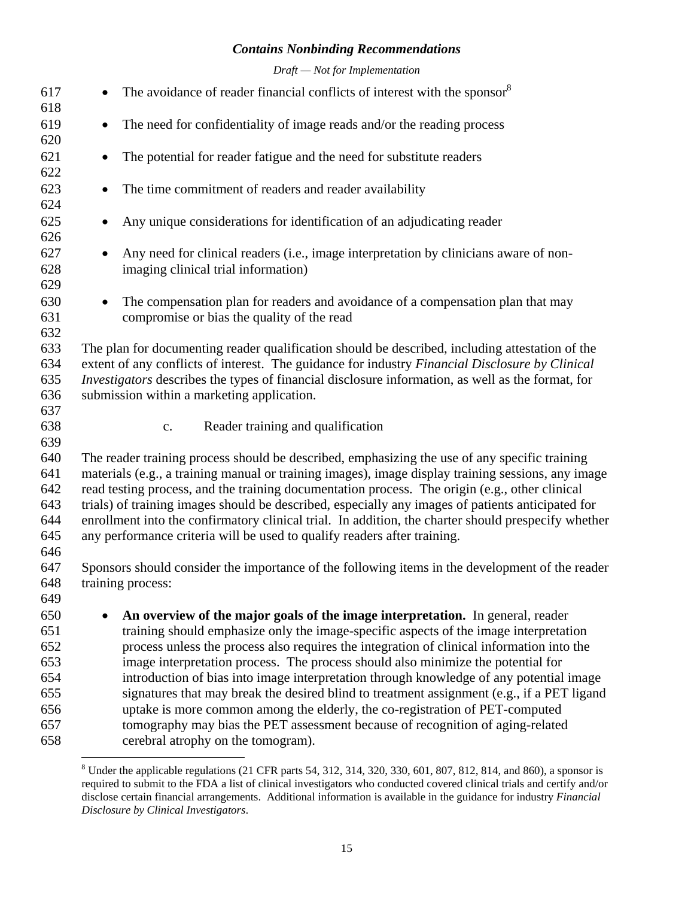*Draft — Not for Implementation* 

<span id="page-18-0"></span>

| 617        | The avoidance of reader financial conflicts of interest with the sponsor <sup>8</sup>                    |
|------------|----------------------------------------------------------------------------------------------------------|
| 618        |                                                                                                          |
| 619        | The need for confidentiality of image reads and/or the reading process                                   |
| 620        |                                                                                                          |
| 621        | The potential for reader fatigue and the need for substitute readers                                     |
| 622        |                                                                                                          |
| 623        | The time commitment of readers and reader availability                                                   |
| 624        |                                                                                                          |
| 625        | Any unique considerations for identification of an adjudicating reader                                   |
| 626        |                                                                                                          |
| 627        | Any need for clinical readers (i.e., image interpretation by clinicians aware of non-                    |
| 628        | imaging clinical trial information)                                                                      |
| 629        |                                                                                                          |
| 630        | The compensation plan for readers and avoidance of a compensation plan that may<br>$\bullet$             |
| 631        | compromise or bias the quality of the read                                                               |
| 632        |                                                                                                          |
| 633        | The plan for documenting reader qualification should be described, including attestation of the          |
| 634        | extent of any conflicts of interest. The guidance for industry Financial Disclosure by Clinical          |
| 635        | <i>Investigators</i> describes the types of financial disclosure information, as well as the format, for |
| 636        | submission within a marketing application.                                                               |
| 637        |                                                                                                          |
| 638<br>639 | Reader training and qualification<br>c.                                                                  |
| 640        | The reader training process should be described, emphasizing the use of any specific training            |
| 641        | materials (e.g., a training manual or training images), image display training sessions, any image       |
| 642        | read testing process, and the training documentation process. The origin (e.g., other clinical           |
| 643        | trials) of training images should be described, especially any images of patients anticipated for        |
| 644        | enrollment into the confirmatory clinical trial. In addition, the charter should prespecify whether      |
| 645        | any performance criteria will be used to qualify readers after training.                                 |
| 646        |                                                                                                          |
| 647        | Sponsors should consider the importance of the following items in the development of the reader          |
| 648        | training process:                                                                                        |
| 649        |                                                                                                          |
| 650        | An overview of the major goals of the image interpretation. In general, reader                           |
| 651        | training should emphasize only the image-specific aspects of the image interpretation                    |
| 652        | process unless the process also requires the integration of clinical information into the                |
| 653        | image interpretation process. The process should also minimize the potential for                         |
| 654        | introduction of bias into image interpretation through knowledge of any potential image                  |
| 655        | signatures that may break the desired blind to treatment assignment (e.g., if a PET ligand               |
| 656        | uptake is more common among the elderly, the co-registration of PET-computed                             |
| 657        | tomography may bias the PET assessment because of recognition of aging-related                           |
| 658        | cerebral atrophy on the tomogram).                                                                       |

<sup>&</sup>lt;sup>8</sup> Under the applicable regulations (21 CFR parts 54, 312, 314, 320, 330, 601, 807, 812, 814, and 860), a sponsor is required to submit to the FDA a list of clinical investigators who conducted covered clinical trials and certify and/or disclose certain financial arrangements. Additional information is available in the guidance for industry *Financial Disclosure by Clinical Investigators*.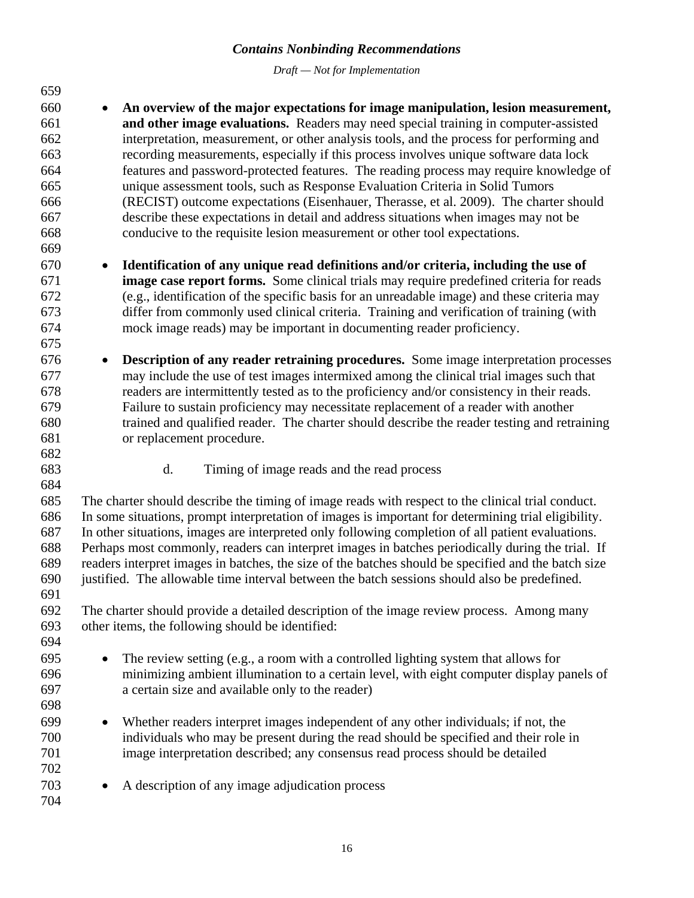*Draft — Not for Implementation* 

<span id="page-19-0"></span>659 660 • **An overview of the major expectations for image manipulation, lesion measurement,**  661 **and other image evaluations.** Readers may need special training in computer-assisted 662 interpretation, measurement, or other analysis tools, and the process for performing and 663 recording measurements, especially if this process involves unique software data lock 664 features and password-protected features. The reading process may require knowledge of 665 unique assessment tools, such as Response Evaluation Criteria in Solid Tumors 666 (RECIST) outcome expectations (Eisenhauer, Therasse, et al. 2009). The charter should 667 describe these expectations in detail and address situations when images may not be 668 conducive to the requisite lesion measurement or other tool expectations. 669 670 • **Identification of any unique read definitions and/or criteria, including the use of**  671 **image case report forms.** Some clinical trials may require predefined criteria for reads 672 (e.g., identification of the specific basis for an unreadable image) and these criteria may 673 differ from commonly used clinical criteria. Training and verification of training (with 674 mock image reads) may be important in documenting reader proficiency. 675 676 • **Description of any reader retraining procedures.** Some image interpretation processes 677 may include the use of test images intermixed among the clinical trial images such that 678 readers are intermittently tested as to the proficiency and/or consistency in their reads. 679 Failure to sustain proficiency may necessitate replacement of a reader with another 680 trained and qualified reader. The charter should describe the reader testing and retraining 681 or replacement procedure. 682 683 d. Timing of image reads and the read process 684 685 The charter should describe the timing of image reads with respect to the clinical trial conduct. 686 In some situations, prompt interpretation of images is important for determining trial eligibility. 687 In other situations, images are interpreted only following completion of all patient evaluations. 688 Perhaps most commonly, readers can interpret images in batches periodically during the trial. If 689 readers interpret images in batches, the size of the batches should be specified and the batch size 690 justified. The allowable time interval between the batch sessions should also be predefined. 691 692 The charter should provide a detailed description of the image review process. Among many 693 other items, the following should be identified: 694 695 • The review setting (e.g., a room with a controlled lighting system that allows for 696 minimizing ambient illumination to a certain level, with eight computer display panels of 697 a certain size and available only to the reader) 698 699 • Whether readers interpret images independent of any other individuals; if not, the 700 individuals who may be present during the read should be specified and their role in 701 image interpretation described; any consensus read process should be detailed 702 703 • A description of any image adjudication process 704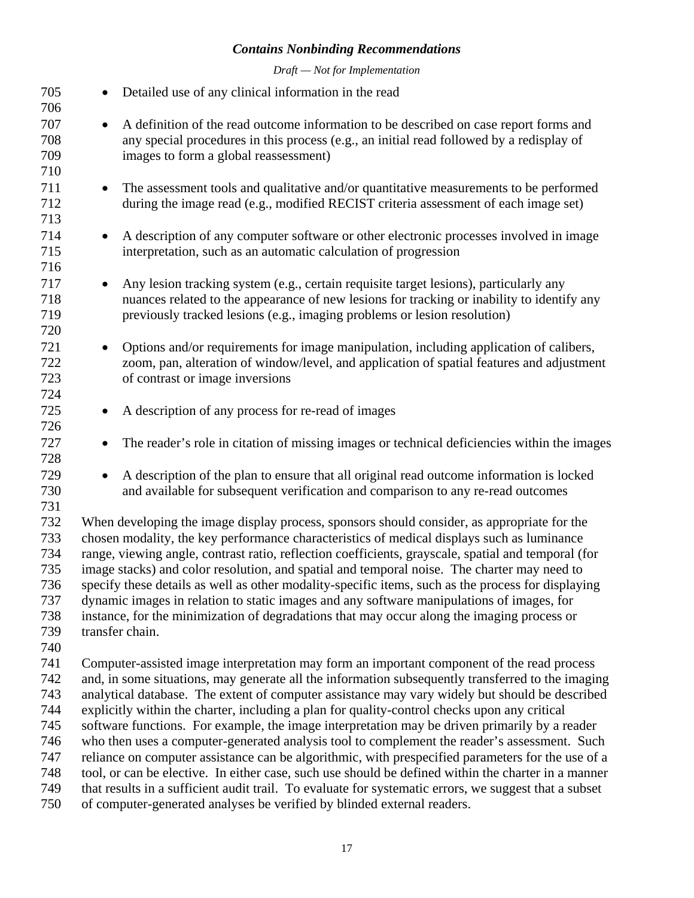*Draft — Not for Implementation* 

| 705<br>706                                                         | $\bullet$ | Detailed use of any clinical information in the read                                                                                                                                                                                                                                                                                                                                                                                                                                                                                                                                                                                                                                                                                                                                                                                                                                                                                                                                               |
|--------------------------------------------------------------------|-----------|----------------------------------------------------------------------------------------------------------------------------------------------------------------------------------------------------------------------------------------------------------------------------------------------------------------------------------------------------------------------------------------------------------------------------------------------------------------------------------------------------------------------------------------------------------------------------------------------------------------------------------------------------------------------------------------------------------------------------------------------------------------------------------------------------------------------------------------------------------------------------------------------------------------------------------------------------------------------------------------------------|
| 707<br>708<br>709<br>710                                           | $\bullet$ | A definition of the read outcome information to be described on case report forms and<br>any special procedures in this process (e.g., an initial read followed by a redisplay of<br>images to form a global reassessment)                                                                                                                                                                                                                                                                                                                                                                                                                                                                                                                                                                                                                                                                                                                                                                         |
| 711<br>712<br>713                                                  | $\bullet$ | The assessment tools and qualitative and/or quantitative measurements to be performed<br>during the image read (e.g., modified RECIST criteria assessment of each image set)                                                                                                                                                                                                                                                                                                                                                                                                                                                                                                                                                                                                                                                                                                                                                                                                                       |
| 714<br>715<br>716                                                  | $\bullet$ | A description of any computer software or other electronic processes involved in image<br>interpretation, such as an automatic calculation of progression                                                                                                                                                                                                                                                                                                                                                                                                                                                                                                                                                                                                                                                                                                                                                                                                                                          |
| 717<br>718<br>719<br>720                                           |           | Any lesion tracking system (e.g., certain requisite target lesions), particularly any<br>nuances related to the appearance of new lesions for tracking or inability to identify any<br>previously tracked lesions (e.g., imaging problems or lesion resolution)                                                                                                                                                                                                                                                                                                                                                                                                                                                                                                                                                                                                                                                                                                                                    |
| 721<br>722<br>723<br>724                                           | $\bullet$ | Options and/or requirements for image manipulation, including application of calibers,<br>zoom, pan, alteration of window/level, and application of spatial features and adjustment<br>of contrast or image inversions                                                                                                                                                                                                                                                                                                                                                                                                                                                                                                                                                                                                                                                                                                                                                                             |
| 725<br>726                                                         | $\bullet$ | A description of any process for re-read of images                                                                                                                                                                                                                                                                                                                                                                                                                                                                                                                                                                                                                                                                                                                                                                                                                                                                                                                                                 |
| 727<br>728                                                         | $\bullet$ | The reader's role in citation of missing images or technical deficiencies within the images                                                                                                                                                                                                                                                                                                                                                                                                                                                                                                                                                                                                                                                                                                                                                                                                                                                                                                        |
| 729<br>730<br>731                                                  | $\bullet$ | A description of the plan to ensure that all original read outcome information is locked<br>and available for subsequent verification and comparison to any re-read outcomes                                                                                                                                                                                                                                                                                                                                                                                                                                                                                                                                                                                                                                                                                                                                                                                                                       |
| 732<br>733<br>734<br>735<br>736<br>737<br>738<br>739<br>740        |           | When developing the image display process, sponsors should consider, as appropriate for the<br>chosen modality, the key performance characteristics of medical displays such as luminance<br>range, viewing angle, contrast ratio, reflection coefficients, grayscale, spatial and temporal (for<br>image stacks) and color resolution, and spatial and temporal noise. The charter may need to<br>specify these details as well as other modality-specific items, such as the process for displaying<br>dynamic images in relation to static images and any software manipulations of images, for<br>instance, for the minimization of degradations that may occur along the imaging process or<br>transfer chain.                                                                                                                                                                                                                                                                                |
| 741<br>742<br>743<br>744<br>745<br>746<br>747<br>748<br>749<br>750 |           | Computer-assisted image interpretation may form an important component of the read process<br>and, in some situations, may generate all the information subsequently transferred to the imaging<br>analytical database. The extent of computer assistance may vary widely but should be described<br>explicitly within the charter, including a plan for quality-control checks upon any critical<br>software functions. For example, the image interpretation may be driven primarily by a reader<br>who then uses a computer-generated analysis tool to complement the reader's assessment. Such<br>reliance on computer assistance can be algorithmic, with prespecified parameters for the use of a<br>tool, or can be elective. In either case, such use should be defined within the charter in a manner<br>that results in a sufficient audit trail. To evaluate for systematic errors, we suggest that a subset<br>of computer-generated analyses be verified by blinded external readers. |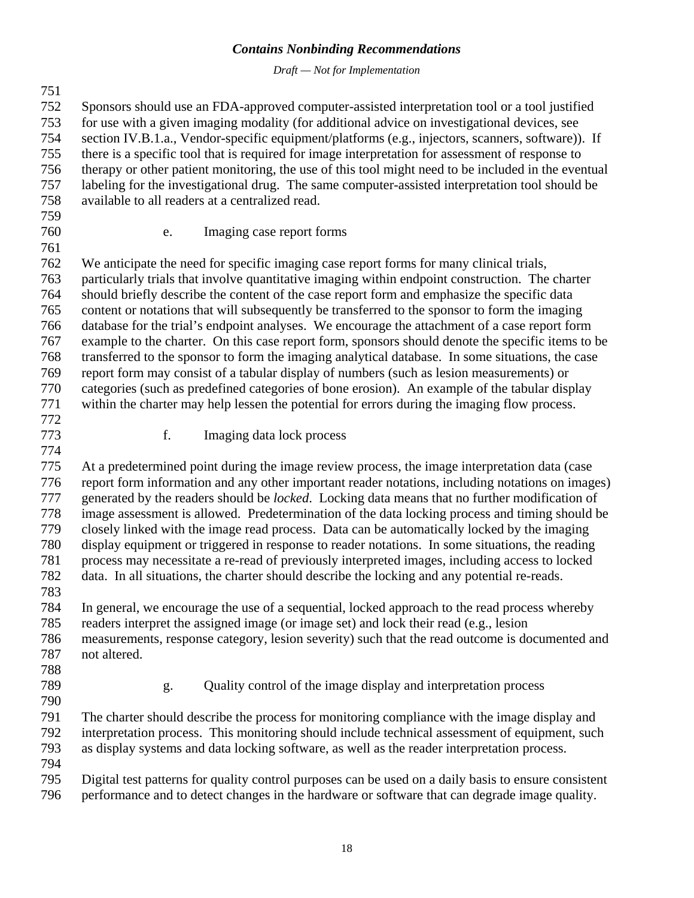*Draft — Not for Implementation* 

<span id="page-21-0"></span>751 752 Sponsors should use an FDA-approved computer-assisted interpretation tool or a tool justified 753 for use with a given imaging modality (for additional advice on investigational devices, see 754 section IV.B.1.a., Vendor-specific equipment/platforms (e.g., injectors, scanners, software)). If 755 there is a specific tool that is required for image interpretation for assessment of response to 756 therapy or other patient monitoring, the use of this tool might need to be included in the eventual 757 labeling for the investigational drug. The same computer-assisted interpretation tool should be 758 available to all readers at a centralized read. 759 760 e. Imaging case report forms 761 762 We anticipate the need for specific imaging case report forms for many clinical trials, 763 particularly trials that involve quantitative imaging within endpoint construction. The charter 764 should briefly describe the content of the case report form and emphasize the specific data 765 content or notations that will subsequently be transferred to the sponsor to form the imaging 766 database for the trial's endpoint analyses. We encourage the attachment of a case report form 767 example to the charter. On this case report form, sponsors should denote the specific items to be 768 transferred to the sponsor to form the imaging analytical database. In some situations, the case 769 report form may consist of a tabular display of numbers (such as lesion measurements) or

770 categories (such as predefined categories of bone erosion). An example of the tabular display 771 within the charter may help lessen the potential for errors during the imaging flow process.

772

774

773 f. Imaging data lock process

775 At a predetermined point during the image review process, the image interpretation data (case 776 report form information and any other important reader notations, including notations on images) 777 generated by the readers should be *locked*. Locking data means that no further modification of 778 image assessment is allowed. Predetermination of the data locking process and timing should be 779 closely linked with the image read process. Data can be automatically locked by the imaging 780 display equipment or triggered in response to reader notations. In some situations, the reading 781 process may necessitate a re-read of previously interpreted images, including access to locked 782 data. In all situations, the charter should describe the locking and any potential re-reads. 783

784 In general, we encourage the use of a sequential, locked approach to the read process whereby 785 readers interpret the assigned image (or image set) and lock their read (e.g., lesion 786 measurements, response category, lesion severity) such that the read outcome is documented and 787 not altered.

- 788
- 790
- 789 g. Quality control of the image display and interpretation process

791 The charter should describe the process for monitoring compliance with the image display and 792 interpretation process. This monitoring should include technical assessment of equipment, such 793 as display systems and data locking software, as well as the reader interpretation process. 794

795 Digital test patterns for quality control purposes can be used on a daily basis to ensure consistent 796 performance and to detect changes in the hardware or software that can degrade image quality.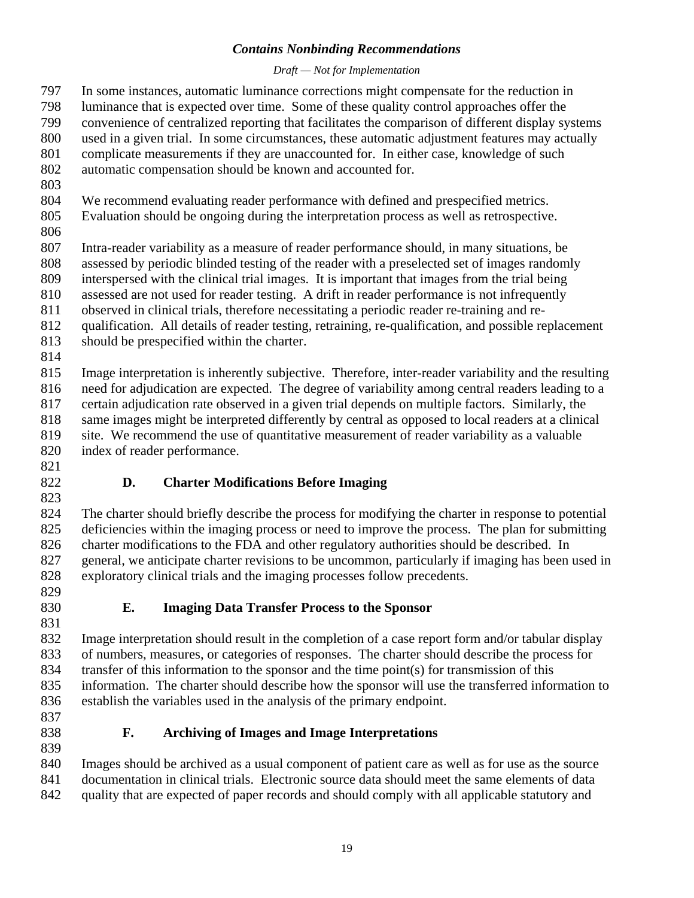#### *Draft — Not for Implementation*

<span id="page-22-0"></span>797 In some instances, automatic luminance corrections might compensate for the reduction in 798 luminance that is expected over time. Some of these quality control approaches offer the 799 convenience of centralized reporting that facilitates the comparison of different display systems

- 800 used in a given trial. In some circumstances, these automatic adjustment features may actually
- 801 complicate measurements if they are unaccounted for. In either case, knowledge of such
- 802 automatic compensation should be known and accounted for.
- 803
- 804 We recommend evaluating reader performance with defined and prespecified metrics.
- 805 Evaluation should be ongoing during the interpretation process as well as retrospective.
- 806

807 Intra-reader variability as a measure of reader performance should, in many situations, be

- 808 assessed by periodic blinded testing of the reader with a preselected set of images randomly
- 809 interspersed with the clinical trial images. It is important that images from the trial being 810 assessed are not used for reader testing. A drift in reader performance is not infrequently
- 811 observed in clinical trials, therefore necessitating a periodic reader re-training and re-
- 812 qualification. All details of reader testing, retraining, re-qualification, and possible replacement
- 813 should be prespecified within the charter.
- 814

815 Image interpretation is inherently subjective. Therefore, inter-reader variability and the resulting 816 need for adjudication are expected. The degree of variability among central readers leading to a 817 certain adjudication rate observed in a given trial depends on multiple factors. Similarly, the 818 same images might be interpreted differently by central as opposed to local readers at a clinical 819 site. We recommend the use of quantitative measurement of reader variability as a valuable

- 820 index of reader performance.
- 821

## 822 **D. Charter Modifications Before Imaging**

823 824 The charter should briefly describe the process for modifying the charter in response to potential 825 deficiencies within the imaging process or need to improve the process. The plan for submitting 826 charter modifications to the FDA and other regulatory authorities should be described. In 827 general, we anticipate charter revisions to be uncommon, particularly if imaging has been used in 828 exploratory clinical trials and the imaging processes follow precedents.

- 829
- 830 **E. Imaging Data Transfer Process to the Sponsor**

831 832 Image interpretation should result in the completion of a case report form and/or tabular display 833 of numbers, measures, or categories of responses. The charter should describe the process for 834 transfer of this information to the sponsor and the time point(s) for transmission of this 835 information. The charter should describe how the sponsor will use the transferred information to 836 establish the variables used in the analysis of the primary endpoint.

- 837
- 839

## 838 **F. Archiving of Images and Image Interpretations**

840 Images should be archived as a usual component of patient care as well as for use as the source 841 documentation in clinical trials. Electronic source data should meet the same elements of data

842 quality that are expected of paper records and should comply with all applicable statutory and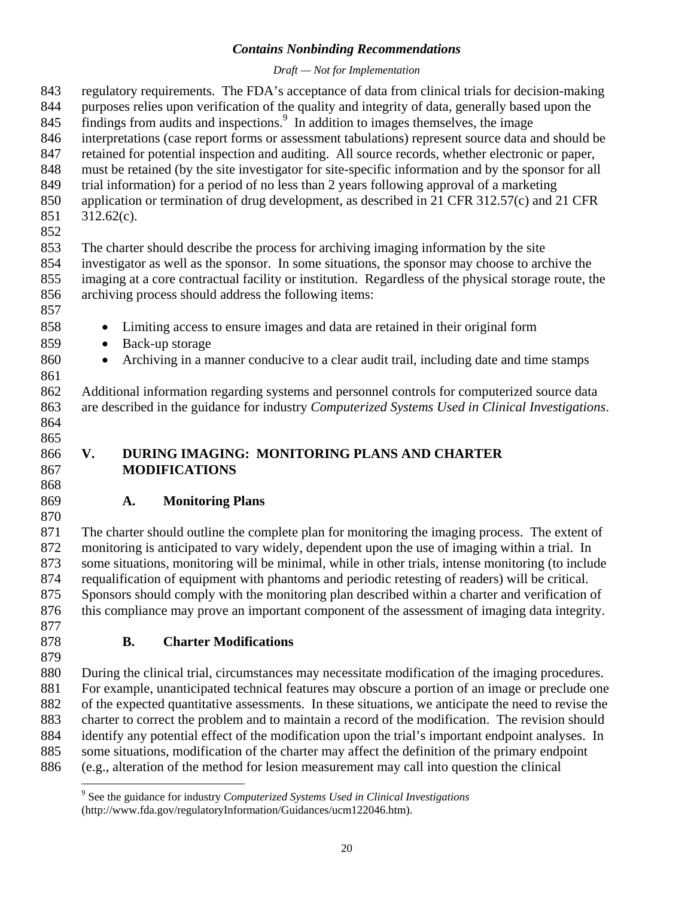#### *Draft — Not for Implementation*

<span id="page-23-0"></span>843 regulatory requirements. The FDA's acceptance of data from clinical trials for decision-making 844 purposes relies upon verification of the quality and integrity of data, generally based upon the 845 findings from audits and inspections.<sup>9</sup> In addition to images themselves, the image 846 interpretations (case report forms or assessment tabulations) represent source data and should be 847 retained for potential inspection and auditing. All source records, whether electronic or paper, 848 must be retained (by the site investigator for site-specific information and by the sponsor for all 849 trial information) for a period of no less than 2 years following approval of a marketing 850 application or termination of drug development, as described in 21 CFR 312.57(c) and 21 CFR 851 312.62(c). 852 853 The charter should describe the process for archiving imaging information by the site 854 investigator as well as the sponsor. In some situations, the sponsor may choose to archive the 855 imaging at a core contractual facility or institution. Regardless of the physical storage route, the 856 archiving process should address the following items: 857 858 • Limiting access to ensure images and data are retained in their original form 859 • Back-up storage 860 • Archiving in a manner conducive to a clear audit trail, including date and time stamps 861 862 Additional information regarding systems and personnel controls for computerized source data 863 are described in the guidance for industry *Computerized Systems Used in Clinical Investigations*. 864 865 866 **V. DURING IMAGING: MONITORING PLANS AND CHARTER**  867 **MODIFICATIONS**  868 869 **A. Monitoring Plans**  870 871 The charter should outline the complete plan for monitoring the imaging process. The extent of 872 monitoring is anticipated to vary widely, dependent upon the use of imaging within a trial. In 873 some situations, monitoring will be minimal, while in other trials, intense monitoring (to include 874 requalification of equipment with phantoms and periodic retesting of readers) will be critical. 875 Sponsors should comply with the monitoring plan described within a charter and verification of 876 this compliance may prove an important component of the assessment of imaging data integrity. 877 878 **B. Charter Modifications**  879 880 During the clinical trial, circumstances may necessitate modification of the imaging procedures. 881 For example, unanticipated technical features may obscure a portion of an image or preclude one 882 of the expected quantitative assessments. In these situations, we anticipate the need to revise the 883 charter to correct the problem and to maintain a record of the modification. The revision should 884 identify any potential effect of the modification upon the trial's important endpoint analyses. In 885 some situations, modification of the charter may affect the definition of the primary endpoint

886 (e.g., alteration of the method for lesion measurement may call into question the clinical

 $\overline{a}$ 

<sup>9</sup> See the guidance for industry *Computerized Systems Used in Clinical Investigations* (http://www.fda.gov/regulatoryInformation/Guidances/ucm122046.htm).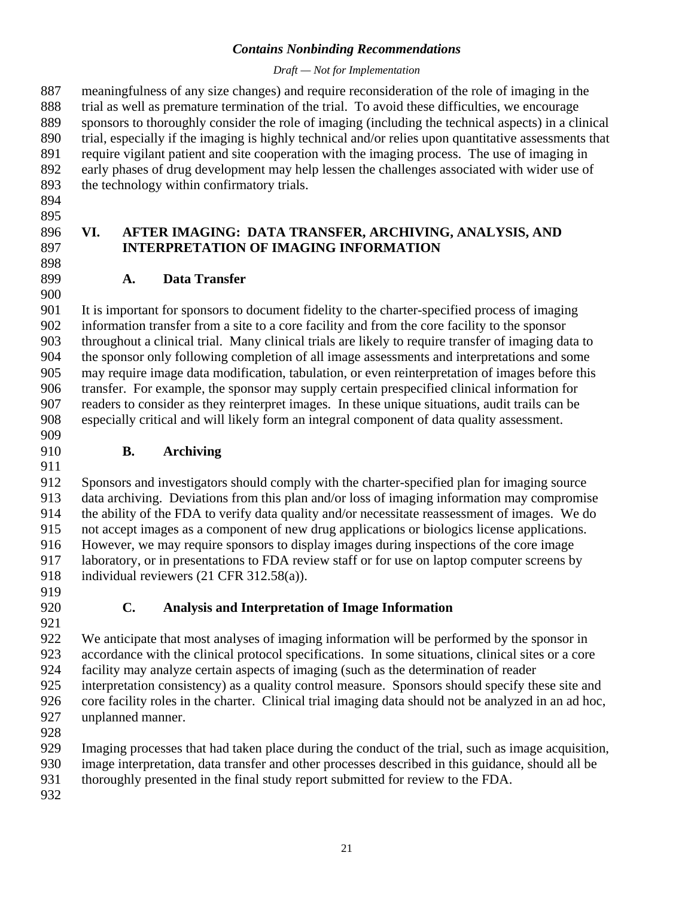#### *Draft — Not for Implementation*

<span id="page-24-0"></span>887 meaningfulness of any size changes) and require reconsideration of the role of imaging in the 888 trial as well as premature termination of the trial. To avoid these difficulties, we encourage 889 sponsors to thoroughly consider the role of imaging (including the technical aspects) in a clinical 890 trial, especially if the imaging is highly technical and/or relies upon quantitative assessments that 891 require vigilant patient and site cooperation with the imaging process. The use of imaging in 892 early phases of drug development may help lessen the challenges associated with wider use of 893 the technology within confirmatory trials.

- 894
- 895

900

#### 896 **VI. AFTER IMAGING: DATA TRANSFER, ARCHIVING, ANALYSIS, AND**  897 **INTERPRETATION OF IMAGING INFORMATION**  898

899 **A. Data Transfer** 

901 It is important for sponsors to document fidelity to the charter-specified process of imaging 902 information transfer from a site to a core facility and from the core facility to the sponsor 903 throughout a clinical trial. Many clinical trials are likely to require transfer of imaging data to 904 the sponsor only following completion of all image assessments and interpretations and some 905 may require image data modification, tabulation, or even reinterpretation of images before this 906 transfer. For example, the sponsor may supply certain prespecified clinical information for 907 readers to consider as they reinterpret images. In these unique situations, audit trails can be 908 especially critical and will likely form an integral component of data quality assessment. 909

#### 910 **B. Archiving**

912 Sponsors and investigators should comply with the charter-specified plan for imaging source 913 data archiving. Deviations from this plan and/or loss of imaging information may compromise 914 the ability of the FDA to verify data quality and/or necessitate reassessment of images. We do 915 not accept images as a component of new drug applications or biologics license applications. 916 However, we may require sponsors to display images during inspections of the core image 917 laboratory, or in presentations to FDA review staff or for use on laptop computer screens by 918 individual reviewers (21 CFR 312.58(a)).

919

911

920 **C. Analysis and Interpretation of Image Information** 

921 922 We anticipate that most analyses of imaging information will be performed by the sponsor in 923 accordance with the clinical protocol specifications. In some situations, clinical sites or a core 924 facility may analyze certain aspects of imaging (such as the determination of reader 925 interpretation consistency) as a quality control measure. Sponsors should specify these site and 926 core facility roles in the charter. Clinical trial imaging data should not be analyzed in an ad hoc, 927 unplanned manner.

928

929 Imaging processes that had taken place during the conduct of the trial, such as image acquisition,

- 930 image interpretation, data transfer and other processes described in this guidance, should all be
- 931 thoroughly presented in the final study report submitted for review to the FDA.
- 932